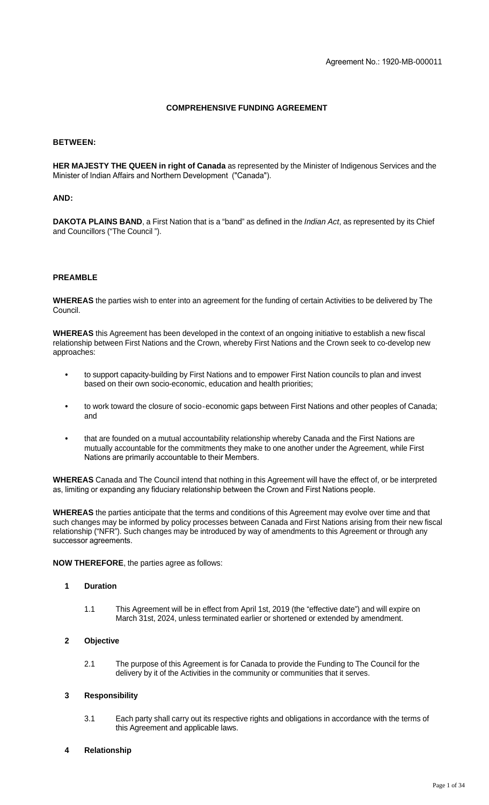## **COMPREHENSIVE FUNDING AGREEMENT**

## **BETWEEN:**

**HER MAJESTY THE QUEEN in right of Canada** as represented by the Minister of Indigenous Services and the Minister of Indian Affairs and Northern Development ("Canada").

#### **AND:**

**DAKOTA PLAINS BAND**, a First Nation that is a "band" as defined in the *Indian Act*, as represented by its Chief and Councillors ("The Council ").

## **PREAMBLE**

**WHEREAS** the parties wish to enter into an agreement for the funding of certain Activities to be delivered by The Council.

**WHEREAS** this Agreement has been developed in the context of an ongoing initiative to establish a new fiscal relationship between First Nations and the Crown, whereby First Nations and the Crown seek to co-develop new approaches:

- **•** to support capacity-building by First Nations and to empower First Nation councils to plan and invest based on their own socio-economic, education and health priorities;
- **•** to work toward the closure of socio‐economic gaps between First Nations and other peoples of Canada; and
- **•** that are founded on a mutual accountability relationship whereby Canada and the First Nations are mutually accountable for the commitments they make to one another under the Agreement, while First Nations are primarily accountable to their Members.

**WHEREAS** Canada and The Council intend that nothing in this Agreement will have the effect of, or be interpreted as, limiting or expanding any fiduciary relationship between the Crown and First Nations people.

**WHEREAS** the parties anticipate that the terms and conditions of this Agreement may evolve over time and that such changes may be informed by policy processes between Canada and First Nations arising from their new fiscal relationship ("NFR"). Such changes may be introduced by way of amendments to this Agreement or through any successor agreements.

**NOW THEREFORE**, the parties agree as follows:

#### **1 Duration**

1.1 This Agreement will be in effect from April 1st, 2019 (the "effective date") and will expire on March 31st, 2024, unless terminated earlier or shortened or extended by amendment.

#### **2 Objective**

2.1 The purpose of this Agreement is for Canada to provide the Funding to The Council for the delivery by it of the Activities in the community or communities that it serves.

## **3 Responsibility**

3.1 Each party shall carry out its respective rights and obligations in accordance with the terms of this Agreement and applicable laws.

## **4 Relationship**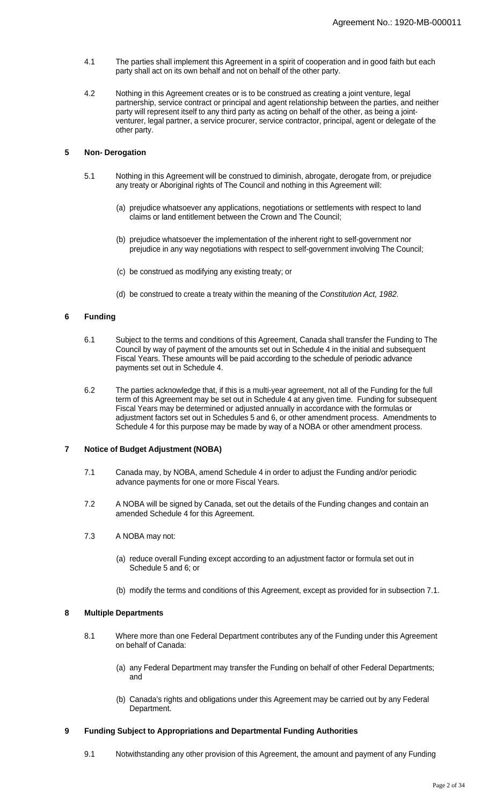- 4.1 The parties shall implement this Agreement in a spirit of cooperation and in good faith but each party shall act on its own behalf and not on behalf of the other party.
- 4.2 Nothing in this Agreement creates or is to be construed as creating a joint venture, legal partnership, service contract or principal and agent relationship between the parties, and neither party will represent itself to any third party as acting on behalf of the other, as being a jointventurer, legal partner, a service procurer, service contractor, principal, agent or delegate of the other party.

## **5 Non- Derogation**

- 5.1 Nothing in this Agreement will be construed to diminish, abrogate, derogate from, or prejudice any treaty or Aboriginal rights of The Council and nothing in this Agreement will:
	- (a) prejudice whatsoever any applications, negotiations or settlements with respect to land claims or land entitlement between the Crown and The Council;
	- (b) prejudice whatsoever the implementation of the inherent right to self-government nor prejudice in any way negotiations with respect to self-government involving The Council;
	- (c) be construed as modifying any existing treaty; or
	- (d) be construed to create a treaty within the meaning of the Constitution Act, 1982.

## **6 Funding**

- 6.1 Subject to the terms and conditions of this Agreement, Canada shall transfer the Funding to The Council by way of payment of the amounts set out in Schedule 4 in the initial and subsequent Fiscal Years. These amounts will be paid according to the schedule of periodic advance payments set out in Schedule 4.
- 6.2 The parties acknowledge that, if this is a multi-year agreement, not all of the Funding for the full term of this Agreement may be set out in Schedule 4 at any given time. Funding for subsequent Fiscal Years may be determined or adjusted annually in accordance with the formulas or adjustment factors set out in Schedules 5 and 6, or other amendment process. Amendments to Schedule 4 for this purpose may be made by way of a NOBA or other amendment process.

## **7 Notice of Budget Adjustment (NOBA)**

- 7.1 Canada may, by NOBA, amend Schedule 4 in order to adjust the Funding and/or periodic advance payments for one or more Fiscal Years.
- 7.2 A NOBA will be signed by Canada, set out the details of the Funding changes and contain an amended Schedule 4 for this Agreement.
- 7.3 A NOBA may not:
	- (a) reduce overall Funding except according to an adjustment factor or formula set out in Schedule 5 and 6; or
	- (b) modify the terms and conditions of this Agreement, except as provided for in subsection 7.1.

#### **8 Multiple Departments**

- 8.1 Where more than one Federal Department contributes any of the Funding under this Agreement on behalf of Canada:
	- (a) any Federal Department may transfer the Funding on behalf of other Federal Departments; and
	- (b) Canada's rights and obligations under this Agreement may be carried out by any Federal Department.

## **9 Funding Subject to Appropriations and Departmental Funding Authorities**

9.1 Notwithstanding any other provision of this Agreement, the amount and payment of any Funding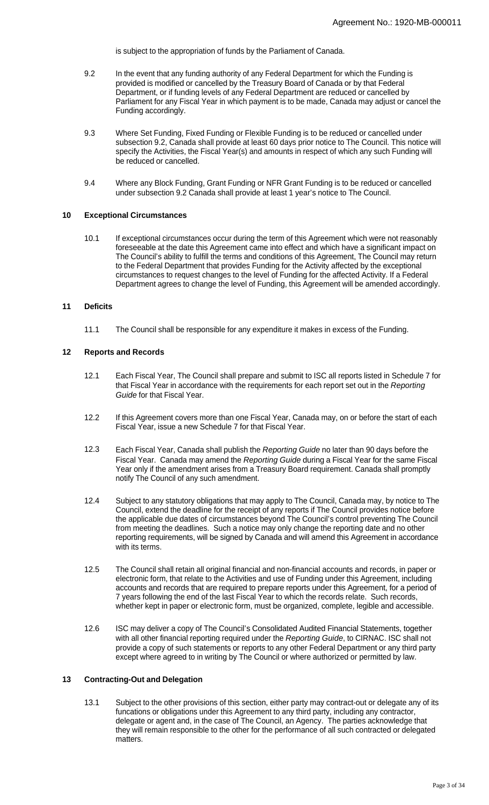is subject to the appropriation of funds by the Parliament of Canada.

- 9.2 In the event that any funding authority of any Federal Department for which the Funding is provided is modified or cancelled by the Treasury Board of Canada or by that Federal Department, or if funding levels of any Federal Department are reduced or cancelled by Parliament for any Fiscal Year in which payment is to be made, Canada may adjust or cancel the Funding accordingly.
- 9.3 Where Set Funding, Fixed Funding or Flexible Funding is to be reduced or cancelled under subsection 9.2, Canada shall provide at least 60 days prior notice to The Council. This notice will specify the Activities, the Fiscal Year(s) and amounts in respect of which any such Funding will be reduced or cancelled.
- 9.4 Where any Block Funding, Grant Funding or NFR Grant Funding is to be reduced or cancelled under subsection 9.2 Canada shall provide at least 1 year's notice to The Council.

## **10 Exceptional Circumstances**

10.1 If exceptional circumstances occur during the term of this Agreement which were not reasonably foreseeable at the date this Agreement came into effect and which have a significant impact on The Council's ability to fulfill the terms and conditions of this Agreement, The Council may return to the Federal Department that provides Funding for the Activity affected by the exceptional circumstances to request changes to the level of Funding for the affected Activity. If a Federal Department agrees to change the level of Funding, this Agreement will be amended accordingly.

## **11 Deficits**

11.1 The Council shall be responsible for any expenditure it makes in excess of the Funding.

#### **12 Reports and Records**

- 12.1 Each Fiscal Year, The Council shall prepare and submit to ISC all reports listed in Schedule 7 for that Fiscal Year in accordance with the requirements for each report set out in the Reporting Guide for that Fiscal Year.
- 12.2 If this Agreement covers more than one Fiscal Year, Canada may, on or before the start of each Fiscal Year, issue a new Schedule 7 for that Fiscal Year.
- 12.3 Each Fiscal Year, Canada shall publish the Reporting Guide no later than 90 days before the Fiscal Year. Canada may amend the Reporting Guide during a Fiscal Year for the same Fiscal Year only if the amendment arises from a Treasury Board requirement. Canada shall promptly notify The Council of any such amendment.
- 12.4 Subject to any statutory obligations that may apply to The Council, Canada may, by notice to The Council, extend the deadline for the receipt of any reports if The Council provides notice before the applicable due dates of circumstances beyond The Council's control preventing The Council from meeting the deadlines. Such a notice may only change the reporting date and no other reporting requirements, will be signed by Canada and will amend this Agreement in accordance with its terms.
- 12.5 The Council shall retain all original financial and non-financial accounts and records, in paper or electronic form, that relate to the Activities and use of Funding under this Agreement, including accounts and records that are required to prepare reports under this Agreement, for a period of 7 years following the end of the last Fiscal Year to which the records relate. Such records, whether kept in paper or electronic form, must be organized, complete, legible and accessible.
- 12.6 ISC may deliver a copy of The Council's Consolidated Audited Financial Statements, together with all other financial reporting required under the Reporting Guide, to CIRNAC. ISC shall not provide a copy of such statements or reports to any other Federal Department or any third party except where agreed to in writing by The Council or where authorized or permitted by law.

## **13 Contracting-Out and Delegation**

13.1 Subject to the other provisions of this section, either party may contract-out or delegate any of its funcations or obligations under this Agreement to any third party, including any contractor, delegate or agent and, in the case of The Council, an Agency. The parties acknowledge that they will remain responsible to the other for the performance of all such contracted or delegated matters.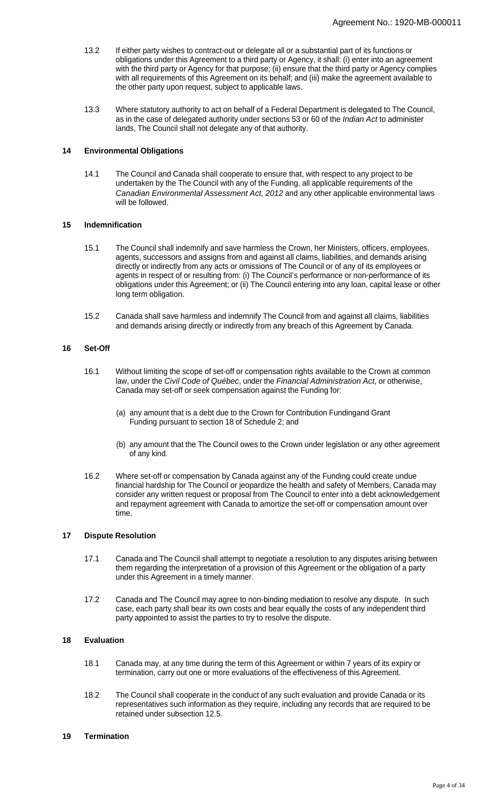- 13.2 If either party wishes to contract-out or delegate all or a substantial part of its functions or obligations under this Agreement to a third party or Agency, it shall: (i) enter into an agreement with the third party or Agency for that purpose; (ii) ensure that the third party or Agency complies with all requirements of this Agreement on its behalf; and (iii) make the agreement available to the other party upon request, subject to applicable laws.
- 13.3 Where statutory authority to act on behalf of a Federal Department is delegated to The Council, as in the case of delegated authority under sections 53 or 60 of the Indian Act to administer lands, The Council shall not delegate any of that authority.

### **14 Environmental Obligations**

14.1 The Council and Canada shall cooperate to ensure that, with respect to any project to be undertaken by the The Council with any of the Funding, all applicable requirements of the Canadian Environmental Assessment Act, 2012 and any other applicable environmental laws will be followed.

## **15 Indemnification**

- 15.1 The Council shall indemnify and save harmless the Crown, her Ministers, officers, employees, agents, successors and assigns from and against all claims, liabilities, and demands arising directly or indirectly from any acts or omissions of The Council or of any of its employees or agents in respect of or resulting from: (i) The Council's performance or non-performance of its obligations under this Agreement; or (ii) The Council entering into any loan, capital lease or other long term obligation.
- 15.2 Canada shall save harmless and indemnify The Council from and against all claims, liabilities and demands arising directly or indirectly from any breach of this Agreement by Canada.

## **16 Set-Off**

- 16.1 Without limiting the scope of set-off or compensation rights available to the Crown at common law, under the Civil Code of Québec, under the Financial Administration Act, or otherwise, Canada may set-off or seek compensation against the Funding for:
	- (a) any amount that is a debt due to the Crown for Contribution Fundingand Grant Funding pursuant to section 18 of Schedule 2; and
	- (b) any amount that the The Council owes to the Crown under legislation or any other agreement of any kind.
- 16.2 Where set-off or compensation by Canada against any of the Funding could create undue financial hardship for The Council or jeopardize the health and safety of Members, Canada may consider any written request or proposal from The Council to enter into a debt acknowledgement and repayment agreement with Canada to amortize the set-off or compensation amount over time.

#### **17 Dispute Resolution**

- 17.1 Canada and The Council shall attempt to negotiate a resolution to any disputes arising between them regarding the interpretation of a provision of this Agreement or the obligation of a party under this Agreement in a timely manner.
- 17.2 Canada and The Council may agree to non-binding mediation to resolve any dispute. In such case, each party shall bear its own costs and bear equally the costs of any independent third party appointed to assist the parties to try to resolve the dispute.

## **18 Evaluation**

- 18.1 Canada may, at any time during the term of this Agreement or within 7 years of its expiry or termination, carry out one or more evaluations of the effectiveness of this Agreement.
- 18.2 The Council shall cooperate in the conduct of any such evaluation and provide Canada or its representatives such information as they require, including any records that are required to be retained under subsection 12.5.

### **19 Termination**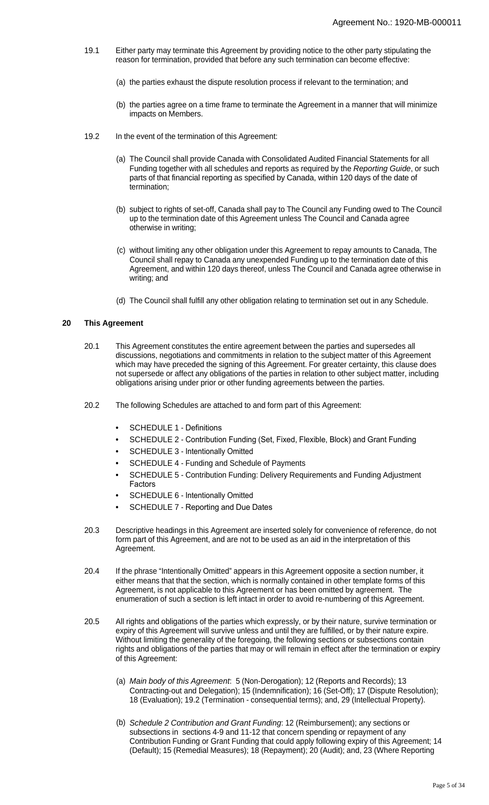- 19.1 Either party may terminate this Agreement by providing notice to the other party stipulating the reason for termination, provided that before any such termination can become effective:
	- (a) the parties exhaust the dispute resolution process if relevant to the termination; and
	- (b) the parties agree on a time frame to terminate the Agreement in a manner that will minimize impacts on Members.
- 19.2 In the event of the termination of this Agreement:
	- (a) The Council shall provide Canada with Consolidated Audited Financial Statements for all Funding together with all schedules and reports as required by the Reporting Guide, or such parts of that financial reporting as specified by Canada, within 120 days of the date of termination;
	- (b) subject to rights of set-off, Canada shall pay to The Council any Funding owed to The Council up to the termination date of this Agreement unless The Council and Canada agree otherwise in writing;
	- (c) without limiting any other obligation under this Agreement to repay amounts to Canada, The Council shall repay to Canada any unexpended Funding up to the termination date of this Agreement, and within 120 days thereof, unless The Council and Canada agree otherwise in writing; and
	- (d) The Council shall fulfill any other obligation relating to termination set out in any Schedule.

## **20 This Agreement**

- 20.1 This Agreement constitutes the entire agreement between the parties and supersedes all discussions, negotiations and commitments in relation to the subject matter of this Agreement which may have preceded the signing of this Agreement. For greater certainty, this clause does not supersede or affect any obligations of the parties in relation to other subject matter, including obligations arising under prior or other funding agreements between the parties.
- 20.2 The following Schedules are attached to and form part of this Agreement:
	- **•** SCHEDULE 1 Definitions
	- **•** SCHEDULE 2 Contribution Funding (Set, Fixed, Flexible, Block) and Grant Funding
	- **•** SCHEDULE 3 Intentionally Omitted
	- **•** SCHEDULE 4 Funding and Schedule of Payments
	- **•** SCHEDULE 5 Contribution Funding: Delivery Requirements and Funding Adjustment Factors
	- **•** SCHEDULE 6 Intentionally Omitted
	- **•** SCHEDULE 7 Reporting and Due Dates
- 20.3 Descriptive headings in this Agreement are inserted solely for convenience of reference, do not form part of this Agreement, and are not to be used as an aid in the interpretation of this Agreement.
- 20.4 If the phrase "Intentionally Omitted" appears in this Agreement opposite a section number, it either means that that the section, which is normally contained in other template forms of this Agreement, is not applicable to this Agreement or has been omitted by agreement. The enumeration of such a section is left intact in order to avoid re-numbering of this Agreement.
- 20.5 All rights and obligations of the parties which expressly, or by their nature, survive termination or expiry of this Agreement will survive unless and until they are fulfilled, or by their nature expire. Without limiting the generality of the foregoing, the following sections or subsections contain rights and obligations of the parties that may or will remain in effect after the termination or expiry of this Agreement:
	- (a) Main body of this Agreement: 5 (Non-Derogation); 12 (Reports and Records); 13 Contracting-out and Delegation); 15 (Indemnification); 16 (Set-Off); 17 (Dispute Resolution); 18 (Evaluation); 19.2 (Termination - consequential terms); and, 29 (Intellectual Property).
	- (b) Schedule 2 Contribution and Grant Funding: 12 (Reimbursement); any sections or subsections in sections 4-9 and 11-12 that concern spending or repayment of any Contribution Funding or Grant Funding that could apply following expiry of this Agreement; 14 (Default); 15 (Remedial Measures); 18 (Repayment); 20 (Audit); and, 23 (Where Reporting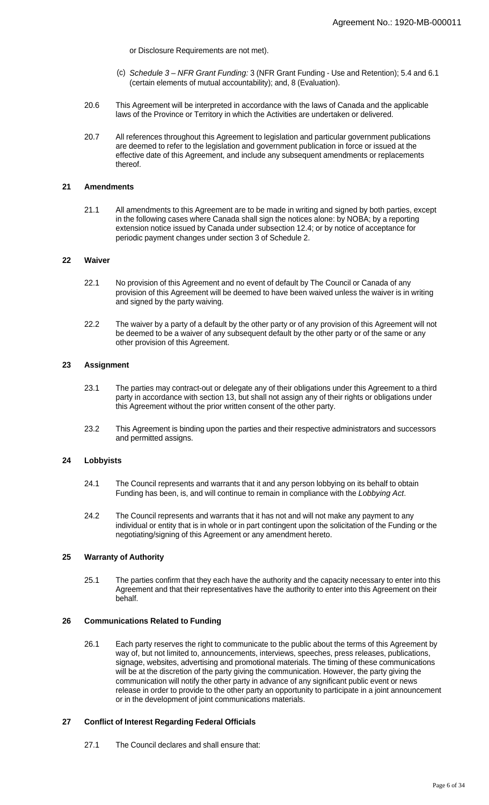or Disclosure Requirements are not met).

- (c) Schedule 3 NFR Grant Funding: 3 (NFR Grant Funding Use and Retention); 5.4 and 6.1 (certain elements of mutual accountability); and, 8 (Evaluation).
- 20.6 This Agreement will be interpreted in accordance with the laws of Canada and the applicable laws of the Province or Territory in which the Activities are undertaken or delivered.
- 20.7 All references throughout this Agreement to legislation and particular government publications are deemed to refer to the legislation and government publication in force or issued at the effective date of this Agreement, and include any subsequent amendments or replacements thereof.

## **21 Amendments**

21.1 All amendments to this Agreement are to be made in writing and signed by both parties, except in the following cases where Canada shall sign the notices alone: by NOBA; by a reporting extension notice issued by Canada under subsection 12.4; or by notice of acceptance for periodic payment changes under section 3 of Schedule 2.

## **22 Waiver**

- 22.1 No provision of this Agreement and no event of default by The Council or Canada of any provision of this Agreement will be deemed to have been waived unless the waiver is in writing and signed by the party waiving.
- 22.2 The waiver by a party of a default by the other party or of any provision of this Agreement will not be deemed to be a waiver of any subsequent default by the other party or of the same or any other provision of this Agreement.

## **23 Assignment**

- 23.1 The parties may contract-out or delegate any of their obligations under this Agreement to a third party in accordance with section 13, but shall not assign any of their rights or obligations under this Agreement without the prior written consent of the other party.
- 23.2 This Agreement is binding upon the parties and their respective administrators and successors and permitted assigns.

#### **24 Lobbyists**

- 24.1 The Council represents and warrants that it and any person lobbying on its behalf to obtain Funding has been, is, and will continue to remain in compliance with the Lobbying Act.
- 24.2 The Council represents and warrants that it has not and will not make any payment to any individual or entity that is in whole or in part contingent upon the solicitation of the Funding or the negotiating/signing of this Agreement or any amendment hereto.

## **25 Warranty of Authority**

25.1 The parties confirm that they each have the authority and the capacity necessary to enter into this Agreement and that their representatives have the authority to enter into this Agreement on their behalf.

## **26 Communications Related to Funding**

26.1 Each party reserves the right to communicate to the public about the terms of this Agreement by way of, but not limited to, announcements, interviews, speeches, press releases, publications, signage, websites, advertising and promotional materials. The timing of these communications will be at the discretion of the party giving the communication. However, the party giving the communication will notify the other party in advance of any significant public event or news release in order to provide to the other party an opportunity to participate in a joint announcement or in the development of joint communications materials.

## **27 Conflict of Interest Regarding Federal Officials**

27.1 The Council declares and shall ensure that: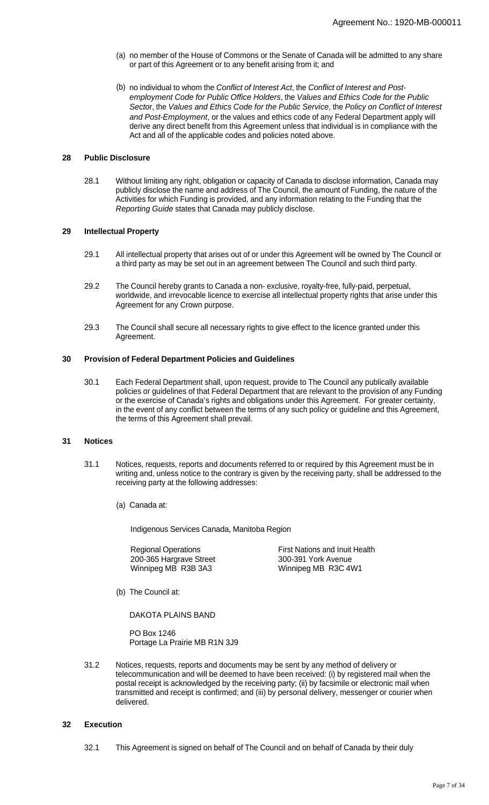- (a) no member of the House of Commons or the Senate of Canada will be admitted to any share or part of this Agreement or to any benefit arising from it; and
- (b) no individual to whom the Conflict of Interest Act, the Conflict of Interest and Postemployment Code for Public Office Holders, the Values and Ethics Code for the Public Sector, the Values and Ethics Code for the Public Service, the Policy on Conflict of Interest and Post-Employment, or the values and ethics code of any Federal Department apply will derive any direct benefit from this Agreement unless that individual is in compliance with the Act and all of the applicable codes and policies noted above.

## **28 Public Disclosure**

28.1 Without limiting any right, obligation or capacity of Canada to disclose information, Canada may publicly disclose the name and address of The Council, the amount of Funding, the nature of the Activities for which Funding is provided, and any information relating to the Funding that the Reporting Guide states that Canada may publicly disclose.

## **29 Intellectual Property**

- 29.1 All intellectual property that arises out of or under this Agreement will be owned by The Council or a third party as may be set out in an agreement between The Council and such third party.
- 29.2 The Council hereby grants to Canada a non- exclusive, royalty-free, fully-paid, perpetual, worldwide, and irrevocable licence to exercise all intellectual property rights that arise under this Agreement for any Crown purpose.
- 29.3 The Council shall secure all necessary rights to give effect to the licence granted under this Agreement.

## **30 Provision of Federal Department Policies and Guidelines**

30.1 Each Federal Department shall, upon request, provide to The Council any publically available policies or guidelines of that Federal Department that are relevant to the provision of any Funding or the exercise of Canada's rights and obligations under this Agreement. For greater certainty, in the event of any conflict between the terms of any such policy or guideline and this Agreement, the terms of this Agreement shall prevail.

#### **31 Notices**

- 31.1 Notices, requests, reports and documents referred to or required by this Agreement must be in writing and, unless notice to the contrary is given by the receiving party, shall be addressed to the receiving party at the following addresses:
	- (a) Canada at:

Indigenous Services Canada, Manitoba Region

Regional Operations 200-365 Hargrave Street Winnipeg MB R3B 3A3 First Nations and Inuit Health 300-391 York Avenue Winnipeg MB R3C 4W1

(b) The Council at:

DAKOTA PLAINS BAND

PO Box 1246 Portage La Prairie MB R1N 3J9

31.2 Notices, requests, reports and documents may be sent by any method of delivery or telecommunication and will be deemed to have been received: (i) by registered mail when the postal receipt is acknowledged by the receiving party; (ii) by facsimile or electronic mail when transmitted and receipt is confirmed; and (iii) by personal delivery, messenger or courier when delivered.

## **32 Execution**

32.1 This Agreement is signed on behalf of The Council and on behalf of Canada by their duly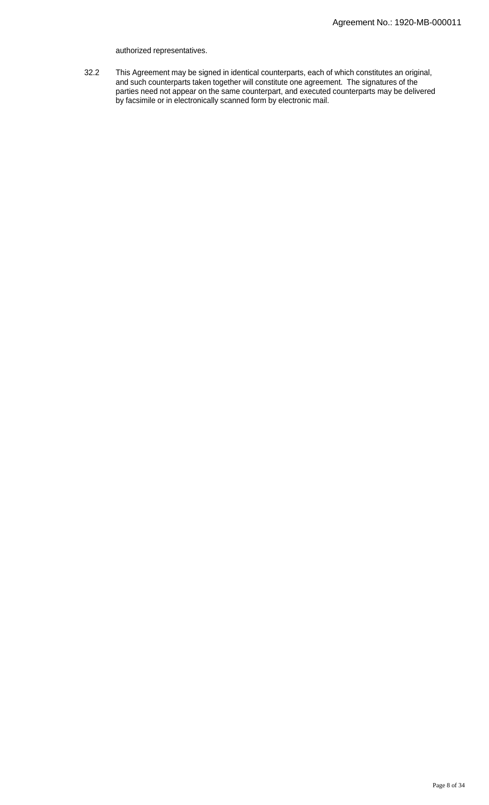#### authorized representatives.

32.2 This Agreement may be signed in identical counterparts, each of which constitutes an original, and such counterparts taken together will constitute one agreement. The signatures of the parties need not appear on the same counterpart, and executed counterparts may be delivered by facsimile or in electronically scanned form by electronic mail.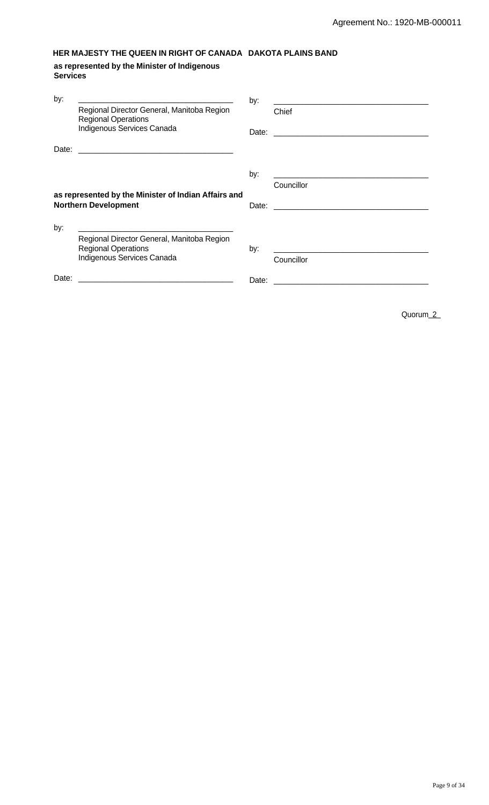# **HER MAJESTY THE QUEEN IN RIGHT OF CANADA DAKOTA PLAINS BAND**

**as represented by the Minister of Indigenous Services**

| by:   | Regional Director General, Manitoba Region<br><b>Regional Operations</b><br>Indigenous Services Canada<br>Date:      | by:   | Chief                                                   |
|-------|----------------------------------------------------------------------------------------------------------------------|-------|---------------------------------------------------------|
|       | as represented by the Minister of Indian Affairs and<br><b>Northern Development</b>                                  | by:   | Councillor                                              |
| by:   | Regional Director General, Manitoba Region<br><b>Regional Operations</b><br>Indigenous Services Canada               | by:   | <u> 2001 - Jan Barnett, mars et al. (</u><br>Councillor |
| Date: | <u> 2000 - Jan James James Jan James James Jan James James James James James James James James James James James</u> | Date: |                                                         |

Quorum\_2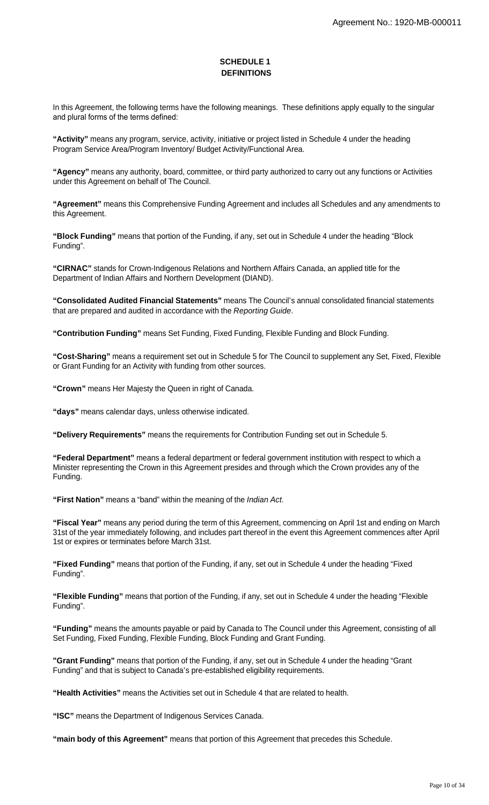## **SCHEDULE 1 DEFINITIONS**

In this Agreement, the following terms have the following meanings. These definitions apply equally to the singular and plural forms of the terms defined:

**"Activity"** means any program, service, activity, initiative or project listed in Schedule 4 under the heading Program Service Area/Program Inventory/ Budget Activity/Functional Area.

**"Agency"** means any authority, board, committee, or third party authorized to carry out any functions or Activities under this Agreement on behalf of The Council.

**"Agreement"** means this Comprehensive Funding Agreement and includes all Schedules and any amendments to this Agreement.

**"Block Funding"** means that portion of the Funding, if any, set out in Schedule 4 under the heading "Block Funding".

**"CIRNAC"** stands for Crown-Indigenous Relations and Northern Affairs Canada, an applied title for the Department of Indian Affairs and Northern Development (DIAND).

**"Consolidated Audited Financial Statements"** means The Council's annual consolidated financial statements that are prepared and audited in accordance with the Reporting Guide.

**"Contribution Funding"** means Set Funding, Fixed Funding, Flexible Funding and Block Funding.

**"Cost-Sharing"** means a requirement set out in Schedule 5 for The Council to supplement any Set, Fixed, Flexible or Grant Funding for an Activity with funding from other sources.

**"Crown"** means Her Majesty the Queen in right of Canada.

**"days"** means calendar days, unless otherwise indicated.

**"Delivery Requirements"** means the requirements for Contribution Funding set out in Schedule 5.

**"Federal Department"** means a federal department or federal government institution with respect to which a Minister representing the Crown in this Agreement presides and through which the Crown provides any of the Funding.

**"First Nation"** means a "band" within the meaning of the Indian Act.

**"Fiscal Year"** means any period during the term of this Agreement, commencing on April 1st and ending on March 31st of the year immediately following, and includes part thereof in the event this Agreement commences after April 1st or expires or terminates before March 31st.

**"Fixed Funding"** means that portion of the Funding, if any, set out in Schedule 4 under the heading "Fixed Funding".

**"Flexible Funding"** means that portion of the Funding, if any, set out in Schedule 4 under the heading "Flexible Funding".

**"Funding"** means the amounts payable or paid by Canada to The Council under this Agreement, consisting of all Set Funding, Fixed Funding, Flexible Funding, Block Funding and Grant Funding.

**"Grant Funding"** means that portion of the Funding, if any, set out in Schedule 4 under the heading "Grant Funding" and that is subject to Canada's pre-established eligibility requirements.

**"Health Activities"** means the Activities set out in Schedule 4 that are related to health.

**"ISC"** means the Department of Indigenous Services Canada.

**"main body of this Agreement"** means that portion of this Agreement that precedes this Schedule.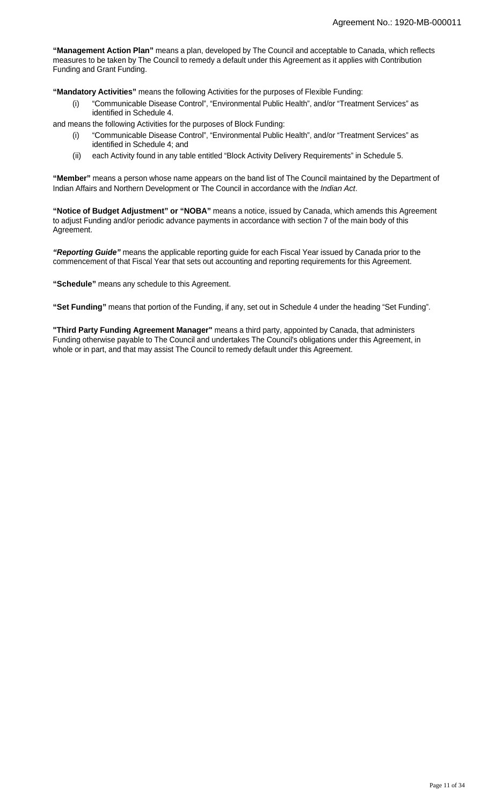**"Management Action Plan"** means a plan, developed by The Council and acceptable to Canada, which reflects measures to be taken by The Council to remedy a default under this Agreement as it applies with Contribution Funding and Grant Funding.

**"Mandatory Activities"** means the following Activities for the purposes of Flexible Funding:

(i) "Communicable Disease Control", "Environmental Public Health", and/or "Treatment Services" as identified in Schedule 4.

and means the following Activities for the purposes of Block Funding:

- (i) "Communicable Disease Control", "Environmental Public Health", and/or "Treatment Services" as identified in Schedule 4; and
- (ii) each Activity found in any table entitled "Block Activity Delivery Requirements" in Schedule 5.

**"Member"** means a person whose name appears on the band list of The Council maintained by the Department of Indian Affairs and Northern Development or The Council in accordance with the Indian Act.

**"Notice of Budget Adjustment" or "NOBA"** means a notice, issued by Canada, which amends this Agreement to adjust Funding and/or periodic advance payments in accordance with section 7 of the main body of this Agreement.

**"Reporting Guide"** means the applicable reporting guide for each Fiscal Year issued by Canada prior to the commencement of that Fiscal Year that sets out accounting and reporting requirements for this Agreement.

**"Schedule"** means any schedule to this Agreement.

**"Set Funding"** means that portion of the Funding, if any, set out in Schedule 4 under the heading "Set Funding".

**"Third Party Funding Agreement Manager"** means a third party, appointed by Canada, that administers Funding otherwise payable to The Council and undertakes The Council's obligations under this Agreement, in whole or in part, and that may assist The Council to remedy default under this Agreement.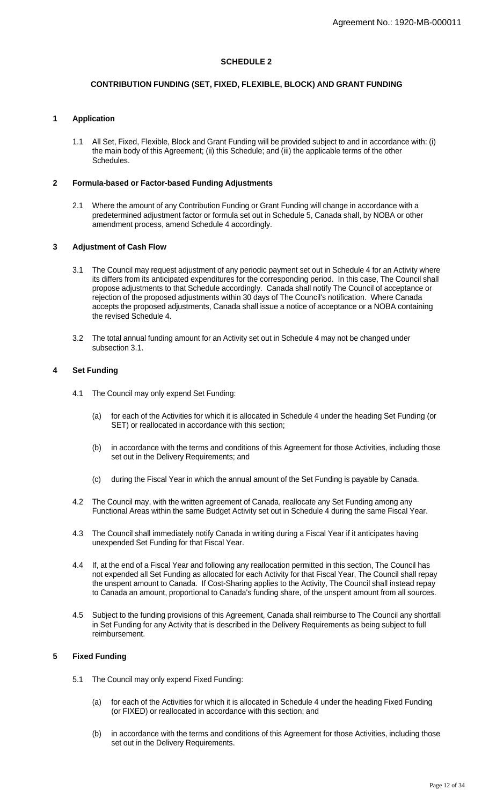## **SCHEDULE 2**

## **CONTRIBUTION FUNDING (SET, FIXED, FLEXIBLE, BLOCK) AND GRANT FUNDING**

## **1 Application**

All Set, Fixed, Flexible, Block and Grant Funding will be provided subject to and in accordance with: (i) the main body of this Agreement; (ii) this Schedule; and (iii) the applicable terms of the other Schedules.

## **2 Formula-based or Factor-based Funding Adjustments**

2.1 Where the amount of any Contribution Funding or Grant Funding will change in accordance with a predetermined adjustment factor or formula set out in Schedule 5, Canada shall, by NOBA or other amendment process, amend Schedule 4 accordingly.

## **3 Adjustment of Cash Flow**

- 3.1 The Council may request adjustment of any periodic payment set out in Schedule 4 for an Activity where its differs from its anticipated expenditures for the corresponding period. In this case, The Council shall propose adjustments to that Schedule accordingly. Canada shall notify The Council of acceptance or rejection of the proposed adjustments within 30 days of The Council's notification. Where Canada accepts the proposed adjustments, Canada shall issue a notice of acceptance or a NOBA containing the revised Schedule 4.
- 3.2 The total annual funding amount for an Activity set out in Schedule 4 may not be changed under subsection 3.1.

## **4 Set Funding**

- 4.1 The Council may only expend Set Funding:
	- (a) for each of the Activities for which it is allocated in Schedule 4 under the heading Set Funding (or SET) or reallocated in accordance with this section;
	- (b) in accordance with the terms and conditions of this Agreement for those Activities, including those set out in the Delivery Requirements; and
	- (c) during the Fiscal Year in which the annual amount of the Set Funding is payable by Canada.
- 4.2 The Council may, with the written agreement of Canada, reallocate any Set Funding among any Functional Areas within the same Budget Activity set out in Schedule 4 during the same Fiscal Year.
- 4.3 The Council shall immediately notify Canada in writing during a Fiscal Year if it anticipates having unexpended Set Funding for that Fiscal Year.
- 4.4 If, at the end of a Fiscal Year and following any reallocation permitted in this section, The Council has not expended all Set Funding as allocated for each Activity for that Fiscal Year, The Council shall repay the unspent amount to Canada. If Cost-Sharing applies to the Activity, The Council shall instead repay to Canada an amount, proportional to Canada's funding share, of the unspent amount from all sources.
- 4.5 Subject to the funding provisions of this Agreement, Canada shall reimburse to The Council any shortfall in Set Funding for any Activity that is described in the Delivery Requirements as being subject to full reimbursement.

## **5 Fixed Funding**

- 5.1 The Council may only expend Fixed Funding:
	- (a) for each of the Activities for which it is allocated in Schedule 4 under the heading Fixed Funding (or FIXED) or reallocated in accordance with this section; and
	- (b) in accordance with the terms and conditions of this Agreement for those Activities, including those set out in the Delivery Requirements.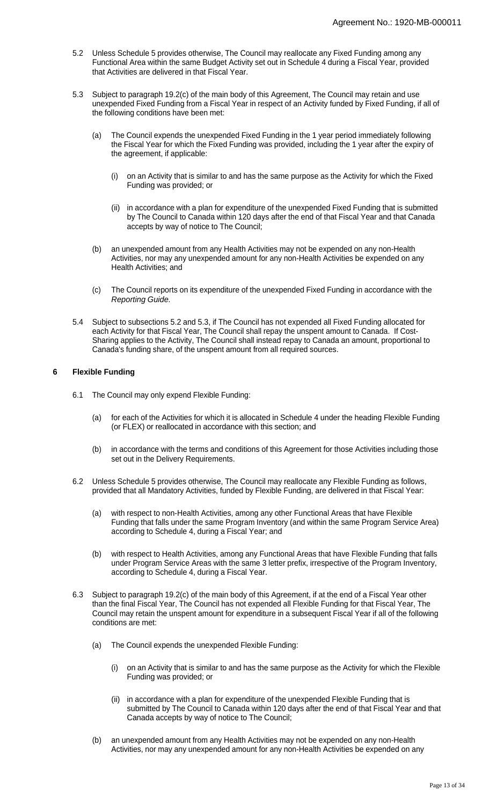- 5.2 Unless Schedule 5 provides otherwise, The Council may reallocate any Fixed Funding among any Functional Area within the same Budget Activity set out in Schedule 4 during a Fiscal Year, provided that Activities are delivered in that Fiscal Year.
- 5.3 Subject to paragraph 19.2(c) of the main body of this Agreement, The Council may retain and use unexpended Fixed Funding from a Fiscal Year in respect of an Activity funded by Fixed Funding, if all of the following conditions have been met:
	- (a) The Council expends the unexpended Fixed Funding in the 1 year period immediately following the Fiscal Year for which the Fixed Funding was provided, including the 1 year after the expiry of the agreement, if applicable:
		- (i) on an Activity that is similar to and has the same purpose as the Activity for which the Fixed Funding was provided; or
		- (ii) in accordance with a plan for expenditure of the unexpended Fixed Funding that is submitted by The Council to Canada within 120 days after the end of that Fiscal Year and that Canada accepts by way of notice to The Council;
	- (b) an unexpended amount from any Health Activities may not be expended on any non-Health Activities, nor may any unexpended amount for any non-Health Activities be expended on any Health Activities; and
	- (c) The Council reports on its expenditure of the unexpended Fixed Funding in accordance with the Reporting Guide.
- 5.4 Subject to subsections 5.2 and 5.3, if The Council has not expended all Fixed Funding allocated for each Activity for that Fiscal Year, The Council shall repay the unspent amount to Canada. If Cost-Sharing applies to the Activity, The Council shall instead repay to Canada an amount, proportional to Canada's funding share, of the unspent amount from all required sources.

## **6 Flexible Funding**

- 6.1 The Council may only expend Flexible Funding:
	- (a) for each of the Activities for which it is allocated in Schedule 4 under the heading Flexible Funding (or FLEX) or reallocated in accordance with this section; and
	- (b) in accordance with the terms and conditions of this Agreement for those Activities including those set out in the Delivery Requirements.
- 6.2 Unless Schedule 5 provides otherwise, The Council may reallocate any Flexible Funding as follows, provided that all Mandatory Activities, funded by Flexible Funding, are delivered in that Fiscal Year:
	- (a) with respect to non-Health Activities, among any other Functional Areas that have Flexible Funding that falls under the same Program Inventory (and within the same Program Service Area) according to Schedule 4, during a Fiscal Year; and
	- (b) with respect to Health Activities, among any Functional Areas that have Flexible Funding that falls under Program Service Areas with the same 3 letter prefix, irrespective of the Program Inventory, according to Schedule 4, during a Fiscal Year.
- 6.3 Subject to paragraph 19.2(c) of the main body of this Agreement, if at the end of a Fiscal Year other than the final Fiscal Year, The Council has not expended all Flexible Funding for that Fiscal Year, The Council may retain the unspent amount for expenditure in a subsequent Fiscal Year if all of the following conditions are met:
	- (a) The Council expends the unexpended Flexible Funding:
		- (i) on an Activity that is similar to and has the same purpose as the Activity for which the Flexible Funding was provided; or
		- (ii) in accordance with a plan for expenditure of the unexpended Flexible Funding that is submitted by The Council to Canada within 120 days after the end of that Fiscal Year and that Canada accepts by way of notice to The Council;
	- (b) an unexpended amount from any Health Activities may not be expended on any non-Health Activities, nor may any unexpended amount for any non-Health Activities be expended on any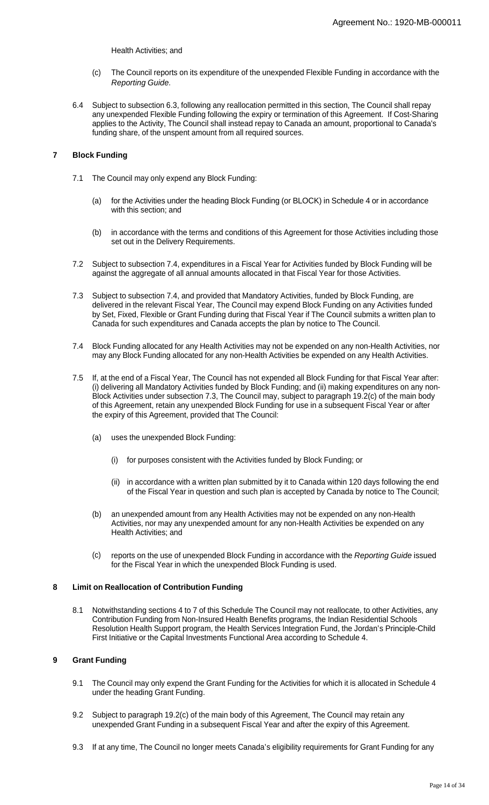Health Activities; and

- (c) The Council reports on its expenditure of the unexpended Flexible Funding in accordance with the Reporting Guide.
- 6.4 Subject to subsection 6.3, following any reallocation permitted in this section, The Council shall repay any unexpended Flexible Funding following the expiry or termination of this Agreement. If Cost-Sharing applies to the Activity, The Council shall instead repay to Canada an amount, proportional to Canada's funding share, of the unspent amount from all required sources.

## **7 Block Funding**

- 7.1 The Council may only expend any Block Funding:
	- (a) for the Activities under the heading Block Funding (or BLOCK) in Schedule 4 or in accordance with this section; and
	- (b) in accordance with the terms and conditions of this Agreement for those Activities including those set out in the Delivery Requirements.
- 7.2 Subject to subsection 7.4, expenditures in a Fiscal Year for Activities funded by Block Funding will be against the aggregate of all annual amounts allocated in that Fiscal Year for those Activities.
- 7.3 Subject to subsection 7.4, and provided that Mandatory Activities, funded by Block Funding, are delivered in the relevant Fiscal Year, The Council may expend Block Funding on any Activities funded by Set, Fixed, Flexible or Grant Funding during that Fiscal Year if The Council submits a written plan to Canada for such expenditures and Canada accepts the plan by notice to The Council.
- 7.4 Block Funding allocated for any Health Activities may not be expended on any non-Health Activities, nor may any Block Funding allocated for any non-Health Activities be expended on any Health Activities.
- 7.5 If, at the end of a Fiscal Year, The Council has not expended all Block Funding for that Fiscal Year after: (i) delivering all Mandatory Activities funded by Block Funding; and (ii) making expenditures on any non-Block Activities under subsection 7.3, The Council may, subject to paragraph 19.2(c) of the main body of this Agreement, retain any unexpended Block Funding for use in a subsequent Fiscal Year or after the expiry of this Agreement, provided that The Council:
	- (a) uses the unexpended Block Funding:
		- (i) for purposes consistent with the Activities funded by Block Funding; or
		- (ii) in accordance with a written plan submitted by it to Canada within 120 days following the end of the Fiscal Year in question and such plan is accepted by Canada by notice to The Council;
	- (b) an unexpended amount from any Health Activities may not be expended on any non-Health Activities, nor may any unexpended amount for any non-Health Activities be expended on any Health Activities; and
	- (c) reports on the use of unexpended Block Funding in accordance with the Reporting Guide issued for the Fiscal Year in which the unexpended Block Funding is used.

## **8 Limit on Reallocation of Contribution Funding**

8.1 Notwithstanding sections 4 to 7 of this Schedule The Council may not reallocate, to other Activities, any Contribution Funding from Non-Insured Health Benefits programs, the Indian Residential Schools Resolution Health Support program, the Health Services Integration Fund, the Jordan's Principle-Child First Initiative or the Capital Investments Functional Area according to Schedule 4.

## **9 Grant Funding**

- 9.1 The Council may only expend the Grant Funding for the Activities for which it is allocated in Schedule 4 under the heading Grant Funding.
- 9.2 Subject to paragraph 19.2(c) of the main body of this Agreement, The Council may retain any unexpended Grant Funding in a subsequent Fiscal Year and after the expiry of this Agreement.
- 9.3 If at any time, The Council no longer meets Canada's eligibility requirements for Grant Funding for any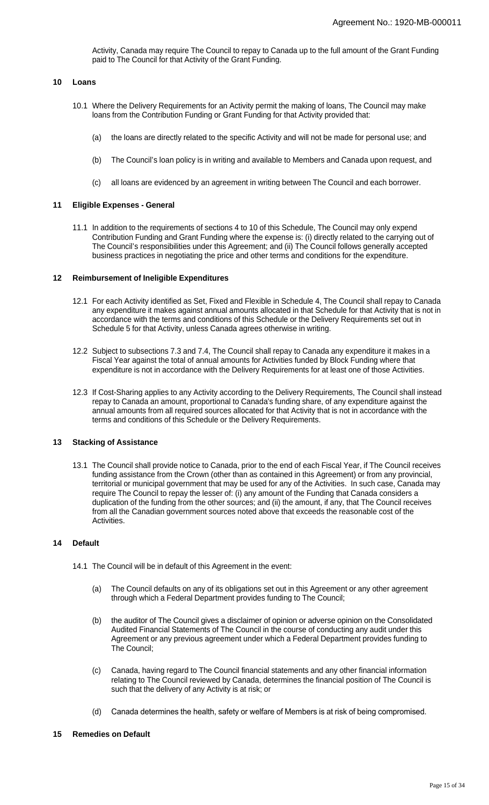Activity, Canada may require The Council to repay to Canada up to the full amount of the Grant Funding paid to The Council for that Activity of the Grant Funding.

### **10 Loans**

- 10.1 Where the Delivery Requirements for an Activity permit the making of loans, The Council may make loans from the Contribution Funding or Grant Funding for that Activity provided that:
	- (a) the loans are directly related to the specific Activity and will not be made for personal use; and
	- (b) The Council's loan policy is in writing and available to Members and Canada upon request, and
	- (c) all loans are evidenced by an agreement in writing between The Council and each borrower.

#### **11 Eligible Expenses - General**

11.1 In addition to the requirements of sections 4 to 10 of this Schedule, The Council may only expend Contribution Funding and Grant Funding where the expense is: (i) directly related to the carrying out of The Council's responsibilities under this Agreement; and (ii) The Council follows generally accepted business practices in negotiating the price and other terms and conditions for the expenditure.

## **12 Reimbursement of Ineligible Expenditures**

- 12.1 For each Activity identified as Set, Fixed and Flexible in Schedule 4, The Council shall repay to Canada any expenditure it makes against annual amounts allocated in that Schedule for that Activity that is not in accordance with the terms and conditions of this Schedule or the Delivery Requirements set out in Schedule 5 for that Activity, unless Canada agrees otherwise in writing.
- 12.2 Subject to subsections 7.3 and 7.4, The Council shall repay to Canada any expenditure it makes in a Fiscal Year against the total of annual amounts for Activities funded by Block Funding where that expenditure is not in accordance with the Delivery Requirements for at least one of those Activities.
- 12.3 If Cost-Sharing applies to any Activity according to the Delivery Requirements, The Council shall instead repay to Canada an amount, proportional to Canada's funding share, of any expenditure against the annual amounts from all required sources allocated for that Activity that is not in accordance with the terms and conditions of this Schedule or the Delivery Requirements.

## **13 Stacking of Assistance**

13.1 The Council shall provide notice to Canada, prior to the end of each Fiscal Year, if The Council receives funding assistance from the Crown (other than as contained in this Agreement) or from any provincial, territorial or municipal government that may be used for any of the Activities. In such case, Canada may require The Council to repay the lesser of: (i) any amount of the Funding that Canada considers a duplication of the funding from the other sources; and (ii) the amount, if any, that The Council receives from all the Canadian government sources noted above that exceeds the reasonable cost of the Activities.

#### **14 Default**

- 14.1 The Council will be in default of this Agreement in the event:
	- (a) The Council defaults on any of its obligations set out in this Agreement or any other agreement through which a Federal Department provides funding to The Council;
	- (b) the auditor of The Council gives a disclaimer of opinion or adverse opinion on the Consolidated Audited Financial Statements of The Council in the course of conducting any audit under this Agreement or any previous agreement under which a Federal Department provides funding to The Council;
	- (c) Canada, having regard to The Council financial statements and any other financial information relating to The Council reviewed by Canada, determines the financial position of The Council is such that the delivery of any Activity is at risk; or
	- (d) Canada determines the health, safety or welfare of Members is at risk of being compromised.

## **15 Remedies on Default**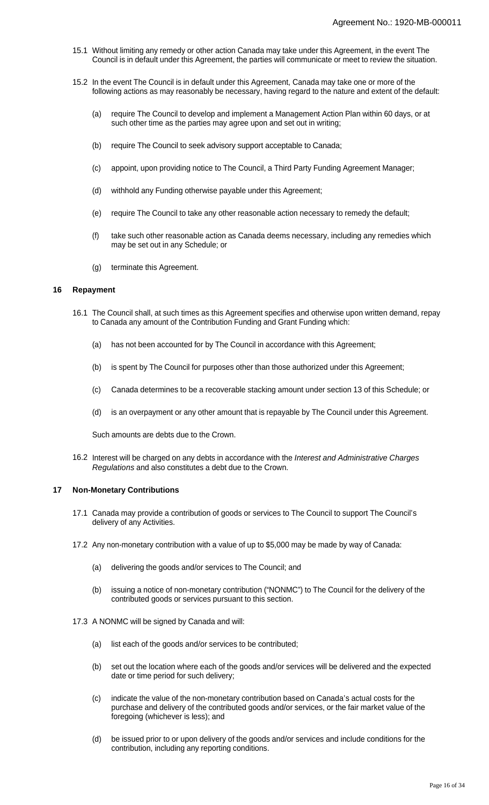- 15.1 Without limiting any remedy or other action Canada may take under this Agreement, in the event The Council is in default under this Agreement, the parties will communicate or meet to review the situation.
- 15.2 In the event The Council is in default under this Agreement, Canada may take one or more of the following actions as may reasonably be necessary, having regard to the nature and extent of the default:
	- (a) require The Council to develop and implement a Management Action Plan within 60 days, or at such other time as the parties may agree upon and set out in writing;
	- (b) require The Council to seek advisory support acceptable to Canada;
	- (c) appoint, upon providing notice to The Council, a Third Party Funding Agreement Manager;
	- (d) withhold any Funding otherwise payable under this Agreement;
	- (e) require The Council to take any other reasonable action necessary to remedy the default;
	- (f) take such other reasonable action as Canada deems necessary, including any remedies which may be set out in any Schedule; or
	- (g) terminate this Agreement.

## **16 Repayment**

- 16.1 The Council shall, at such times as this Agreement specifies and otherwise upon written demand, repay to Canada any amount of the Contribution Funding and Grant Funding which:
	- (a) has not been accounted for by The Council in accordance with this Agreement;
	- (b) is spent by The Council for purposes other than those authorized under this Agreement;
	- (c) Canada determines to be a recoverable stacking amount under section 13 of this Schedule; or
	- (d) is an overpayment or any other amount that is repayable by The Council under this Agreement.

Such amounts are debts due to the Crown.

16.2 Interest will be charged on any debts in accordance with the Interest and Administrative Charges Regulations and also constitutes a debt due to the Crown.

#### **17 Non-Monetary Contributions**

- 17.1 Canada may provide a contribution of goods or services to The Council to support The Council's delivery of any Activities.
- 17.2 Any non-monetary contribution with a value of up to \$5,000 may be made by way of Canada:
	- (a) delivering the goods and/or services to The Council; and
	- (b) issuing a notice of non-monetary contribution ("NONMC") to The Council for the delivery of the contributed goods or services pursuant to this section.
- 17.3 A NONMC will be signed by Canada and will:
	- (a) list each of the goods and/or services to be contributed;
	- (b) set out the location where each of the goods and/or services will be delivered and the expected date or time period for such delivery;
	- (c) indicate the value of the non-monetary contribution based on Canada's actual costs for the purchase and delivery of the contributed goods and/or services, or the fair market value of the foregoing (whichever is less); and
	- (d) be issued prior to or upon delivery of the goods and/or services and include conditions for the contribution, including any reporting conditions.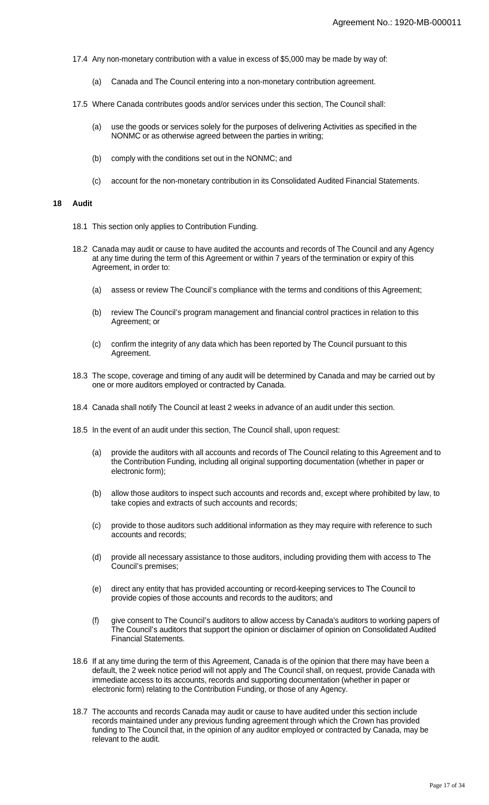- 17.4 Any non-monetary contribution with a value in excess of \$5,000 may be made by way of:
	- (a) Canada and The Council entering into a non-monetary contribution agreement.
- 17.5 Where Canada contributes goods and/or services under this section, The Council shall:
	- (a) use the goods or services solely for the purposes of delivering Activities as specified in the NONMC or as otherwise agreed between the parties in writing;
	- (b) comply with the conditions set out in the NONMC; and
	- (c) account for the non-monetary contribution in its Consolidated Audited Financial Statements.

#### **18 Audit**

- 18.1 This section only applies to Contribution Funding.
- 18.2 Canada may audit or cause to have audited the accounts and records of The Council and any Agency at any time during the term of this Agreement or within 7 years of the termination or expiry of this Agreement, in order to:
	- (a) assess or review The Council's compliance with the terms and conditions of this Agreement;
	- (b) review The Council's program management and financial control practices in relation to this Agreement; or
	- (c) confirm the integrity of any data which has been reported by The Council pursuant to this Agreement.
- 18.3 The scope, coverage and timing of any audit will be determined by Canada and may be carried out by one or more auditors employed or contracted by Canada.
- 18.4 Canada shall notify The Council at least 2 weeks in advance of an audit under this section.
- 18.5 In the event of an audit under this section, The Council shall, upon request:
	- (a) provide the auditors with all accounts and records of The Council relating to this Agreement and to the Contribution Funding, including all original supporting documentation (whether in paper or electronic form);
	- (b) allow those auditors to inspect such accounts and records and, except where prohibited by law, to take copies and extracts of such accounts and records;
	- (c) provide to those auditors such additional information as they may require with reference to such accounts and records;
	- (d) provide all necessary assistance to those auditors, including providing them with access to The Council's premises;
	- (e) direct any entity that has provided accounting or record-keeping services to The Council to provide copies of those accounts and records to the auditors; and
	- (f) give consent to The Council's auditors to allow access by Canada's auditors to working papers of The Council's auditors that support the opinion or disclaimer of opinion on Consolidated Audited Financial Statements.
- 18.6 If at any time during the term of this Agreement, Canada is of the opinion that there may have been a default, the 2 week notice period will not apply and The Council shall, on request, provide Canada with immediate access to its accounts, records and supporting documentation (whether in paper or electronic form) relating to the Contribution Funding, or those of any Agency.
- 18.7 The accounts and records Canada may audit or cause to have audited under this section include records maintained under any previous funding agreement through which the Crown has provided funding to The Council that, in the opinion of any auditor employed or contracted by Canada, may be relevant to the audit.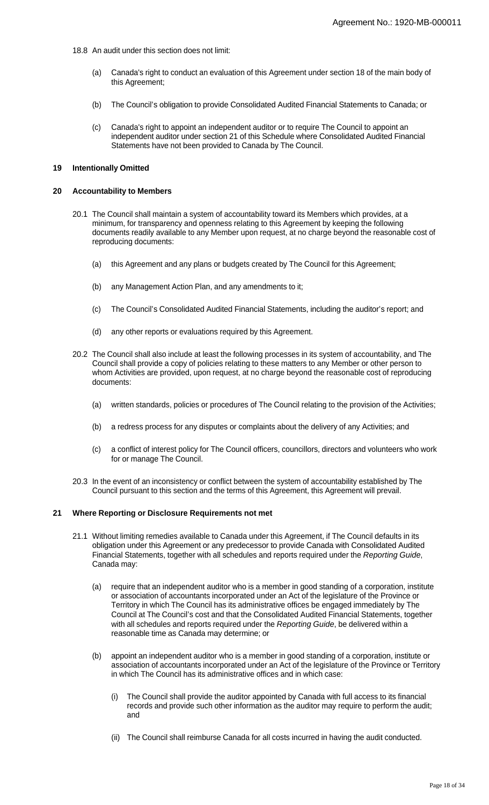- 18.8 An audit under this section does not limit:
	- (a) Canada's right to conduct an evaluation of this Agreement under section 18 of the main body of this Agreement;
	- (b) The Council's obligation to provide Consolidated Audited Financial Statements to Canada; or
	- (c) Canada's right to appoint an independent auditor or to require The Council to appoint an independent auditor under section 21 of this Schedule where Consolidated Audited Financial Statements have not been provided to Canada by The Council.

#### **19 Intentionally Omitted**

## **20 Accountability to Members**

- 20.1 The Council shall maintain a system of accountability toward its Members which provides, at a minimum, for transparency and openness relating to this Agreement by keeping the following documents readily available to any Member upon request, at no charge beyond the reasonable cost of reproducing documents:
	- (a) this Agreement and any plans or budgets created by The Council for this Agreement;
	- (b) any Management Action Plan, and any amendments to it;
	- (c) The Council's Consolidated Audited Financial Statements, including the auditor's report; and
	- (d) any other reports or evaluations required by this Agreement.
- 20.2 The Council shall also include at least the following processes in its system of accountability, and The Council shall provide a copy of policies relating to these matters to any Member or other person to whom Activities are provided, upon request, at no charge beyond the reasonable cost of reproducing documents:
	- (a) written standards, policies or procedures of The Council relating to the provision of the Activities;
	- (b) a redress process for any disputes or complaints about the delivery of any Activities; and
	- (c) a conflict of interest policy for The Council officers, councillors, directors and volunteers who work for or manage The Council.
- 20.3 In the event of an inconsistency or conflict between the system of accountability established by The Council pursuant to this section and the terms of this Agreement, this Agreement will prevail.

## **21 Where Reporting or Disclosure Requirements not met**

- 21.1 Without limiting remedies available to Canada under this Agreement, if The Council defaults in its obligation under this Agreement or any predecessor to provide Canada with Consolidated Audited Financial Statements, together with all schedules and reports required under the Reporting Guide, Canada may:
	- (a) require that an independent auditor who is a member in good standing of a corporation, institute or association of accountants incorporated under an Act of the legislature of the Province or Territory in which The Council has its administrative offices be engaged immediately by The Council at The Council's cost and that the Consolidated Audited Financial Statements, together with all schedules and reports required under the Reporting Guide, be delivered within a reasonable time as Canada may determine; or
	- (b) appoint an independent auditor who is a member in good standing of a corporation, institute or association of accountants incorporated under an Act of the legislature of the Province or Territory in which The Council has its administrative offices and in which case:
		- (i) The Council shall provide the auditor appointed by Canada with full access to its financial records and provide such other information as the auditor may require to perform the audit; and
		- (ii) The Council shall reimburse Canada for all costs incurred in having the audit conducted.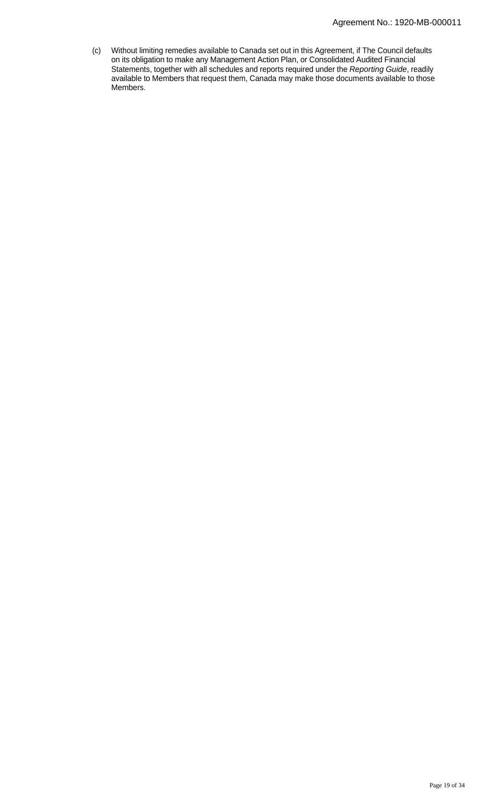(c) Without limiting remedies available to Canada set out in this Agreement, if The Council defaults on its obligation to make any Management Action Plan, or Consolidated Audited Financial Statements, together with all schedules and reports required under the Reporting Guide, readily available to Members that request them, Canada may make those documents available to those Members.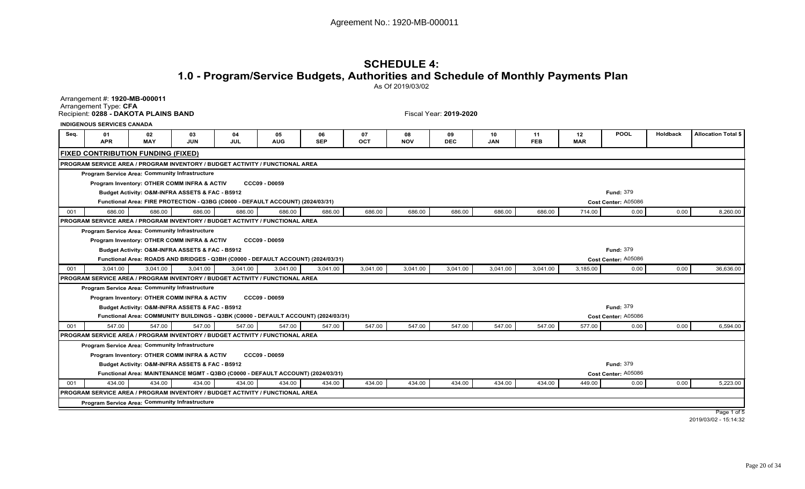# **SCHEDULE 4: 1.0 - Program/Service Budgets, Authorities and Schedule of Monthly Payments Plan**

As Of 2019/03/02

Arrangement #: **1920-MB-000011**Arrangement Type: **CFA**Recipient: **0288 - DAKOTA PLAINS BAND**

Fiscal Year: **2019-2020**

**INDIGENOUS SERVICES CANADA**

| Seq. | 01<br><b>APR</b>                                                             | 02<br><b>MAY</b>                                | 03<br>JUN | 04<br><b>JUL</b>                                                                 | 05<br><b>AUG</b>     | 06<br><b>SEP</b>                                                                   | 07<br>OCT | 08<br><b>NOV</b> | -09<br><b>DEC</b> | 10<br><b>JAN</b> | 11<br><b>FEB</b> | 12<br><b>MAR</b> | <b>POOL</b>         | Holdback | <b>Allocation Total \$</b> |
|------|------------------------------------------------------------------------------|-------------------------------------------------|-----------|----------------------------------------------------------------------------------|----------------------|------------------------------------------------------------------------------------|-----------|------------------|-------------------|------------------|------------------|------------------|---------------------|----------|----------------------------|
|      | <b>FIXED CONTRIBUTION FUNDING (FIXED)</b>                                    |                                                 |           |                                                                                  |                      |                                                                                    |           |                  |                   |                  |                  |                  |                     |          |                            |
|      | PROGRAM SERVICE AREA / PROGRAM INVENTORY / BUDGET ACTIVITY / FUNCTIONAL AREA |                                                 |           |                                                                                  |                      |                                                                                    |           |                  |                   |                  |                  |                  |                     |          |                            |
|      | <b>Program Service Area: Community Infrastructure</b>                        |                                                 |           |                                                                                  |                      |                                                                                    |           |                  |                   |                  |                  |                  |                     |          |                            |
|      |                                                                              | Program Inventory: OTHER COMM INFRA & ACTIV     |           |                                                                                  | <b>CCC09 - D0059</b> |                                                                                    |           |                  |                   |                  |                  |                  |                     |          |                            |
|      |                                                                              | Budget Activity: O&M-INFRA ASSETS & FAC - B5912 |           |                                                                                  |                      |                                                                                    |           |                  |                   |                  |                  |                  | <b>Fund: 379</b>    |          |                            |
|      |                                                                              |                                                 |           | Functional Area: FIRE PROTECTION - Q3BG (C0000 - DEFAULT ACCOUNT) (2024/03/31)   |                      |                                                                                    |           |                  |                   |                  |                  |                  | Cost Center: A05086 |          |                            |
| 001  | 686.00                                                                       | 686.00                                          | 686.00    | 686.00                                                                           | 686.00               | 686.00                                                                             | 686.00    | 686.00           | 686.00            | 686.00           | 686.00           | 714.00           | 0.00                | 0.00     | 8,260.00                   |
|      | PROGRAM SERVICE AREA / PROGRAM INVENTORY / BUDGET ACTIVITY / FUNCTIONAL AREA |                                                 |           |                                                                                  |                      |                                                                                    |           |                  |                   |                  |                  |                  |                     |          |                            |
|      | <b>Program Service Area: Community Infrastructure</b>                        |                                                 |           |                                                                                  |                      |                                                                                    |           |                  |                   |                  |                  |                  |                     |          |                            |
|      |                                                                              | Program Inventory: OTHER COMM INFRA & ACTIV     |           |                                                                                  | <b>CCC09 - D0059</b> |                                                                                    |           |                  |                   |                  |                  |                  |                     |          |                            |
|      |                                                                              | Budget Activity: O&M-INFRA ASSETS & FAC - B5912 |           |                                                                                  |                      |                                                                                    |           |                  |                   |                  |                  |                  | <b>Fund: 379</b>    |          |                            |
|      |                                                                              |                                                 |           | Functional Area: ROADS AND BRIDGES - Q3BH (C0000 - DEFAULT ACCOUNT) (2024/03/31) |                      |                                                                                    |           |                  |                   |                  |                  |                  | Cost Center: A05086 |          |                            |
| 001  | 3,041.00                                                                     | 3,041.00                                        | 3,041.00  | 3,041.00                                                                         | 3,041.00             | 3,041.00                                                                           | 3,041.00  | 3,041.00         | 3,041.00          | 3,041.00         | 3,041.00         | 3,185.00         | 0.00                | 0.00     | 36,636.00                  |
|      | PROGRAM SERVICE AREA / PROGRAM INVENTORY / BUDGET ACTIVITY / FUNCTIONAL AREA |                                                 |           |                                                                                  |                      |                                                                                    |           |                  |                   |                  |                  |                  |                     |          |                            |
|      | <b>Program Service Area: Community Infrastructure</b>                        |                                                 |           |                                                                                  |                      |                                                                                    |           |                  |                   |                  |                  |                  |                     |          |                            |
|      |                                                                              | Program Inventory: OTHER COMM INFRA & ACTIV     |           |                                                                                  | <b>CCC09 - D0059</b> |                                                                                    |           |                  |                   |                  |                  |                  |                     |          |                            |
|      |                                                                              | Budget Activity: O&M-INFRA ASSETS & FAC - B5912 |           |                                                                                  |                      |                                                                                    |           |                  |                   |                  |                  |                  | <b>Fund: 379</b>    |          |                            |
|      |                                                                              |                                                 |           |                                                                                  |                      | Functional Area: COMMUNITY BUILDINGS - Q3BK (C0000 - DEFAULT ACCOUNT) (2024/03/31) |           |                  |                   |                  |                  |                  | Cost Center: A05086 |          |                            |
| 001  | 547.00                                                                       | 547.00                                          | 547.00    | 547.00                                                                           | 547.00               | 547.00                                                                             | 547.00    | 547.00           | 547.00            | 547.00           | 547.00           | 577.00           | 0.00                | 0.00     | 6,594.00                   |
|      | PROGRAM SERVICE AREA / PROGRAM INVENTORY / BUDGET ACTIVITY / FUNCTIONAL AREA |                                                 |           |                                                                                  |                      |                                                                                    |           |                  |                   |                  |                  |                  |                     |          |                            |
|      | <b>Program Service Area: Community Infrastructure</b>                        |                                                 |           |                                                                                  |                      |                                                                                    |           |                  |                   |                  |                  |                  |                     |          |                            |
|      |                                                                              | Program Inventory: OTHER COMM INFRA & ACTIV     |           |                                                                                  | <b>CCC09 - D0059</b> |                                                                                    |           |                  |                   |                  |                  |                  |                     |          |                            |
|      |                                                                              | Budget Activity: O&M-INFRA ASSETS & FAC - B5912 |           |                                                                                  |                      |                                                                                    |           |                  |                   |                  |                  |                  | <b>Fund: 379</b>    |          |                            |
|      |                                                                              |                                                 |           | Functional Area: MAINTENANCE MGMT - Q3BO (C0000 - DEFAULT ACCOUNT) (2024/03/31)  |                      |                                                                                    |           |                  |                   |                  |                  |                  | Cost Center: A05086 |          |                            |
| 001  | 434.00                                                                       | 434.00                                          | 434.00    | 434.00                                                                           | 434.00               | 434.00                                                                             | 434.00    | 434.00           | 434.00            | 434.00           | 434.00           | 449.00           | 0.00                | 0.00     | 5,223.00                   |
|      | PROGRAM SERVICE AREA / PROGRAM INVENTORY / BUDGET ACTIVITY / FUNCTIONAL AREA |                                                 |           |                                                                                  |                      |                                                                                    |           |                  |                   |                  |                  |                  |                     |          |                            |
|      | Program Service Area: Community Infrastructure                               |                                                 |           |                                                                                  |                      |                                                                                    |           |                  |                   |                  |                  |                  |                     |          |                            |
|      |                                                                              |                                                 |           |                                                                                  |                      |                                                                                    |           |                  |                   |                  |                  |                  |                     |          | Page 1 of 5                |

Page 1 of 5 2019/03/02 - 15:14:32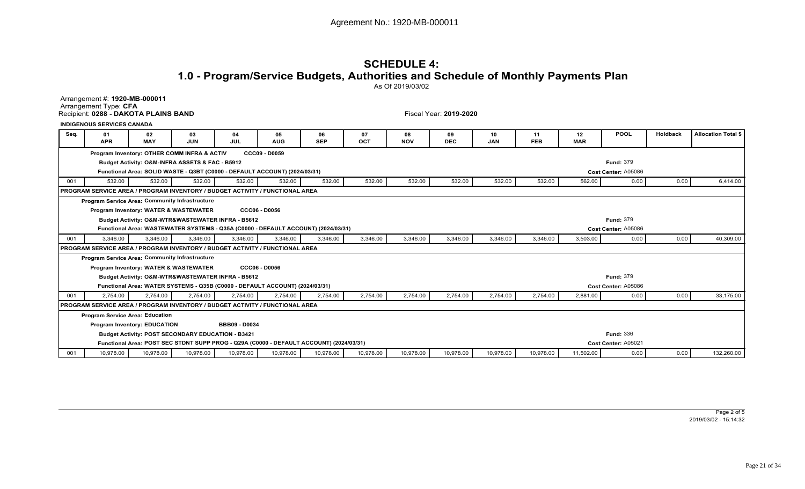## **SCHEDULE 4: 1.0 - Program/Service Budgets, Authorities and Schedule of Monthly Payments Plan**As Of 2019/03/02

Arrangement #: **1920-MB-000011**Arrangement Type: **CFA**Recipient: **0288 - DAKOTA PLAINS BAND**

Fiscal Year: **2019-2020**

**INDIGENOUS SERVICES CANADA**

| Sea. | 01<br><b>APR</b>                                                                    | 02<br><b>MAY</b>                    | 03<br><b>JUN</b>                                         | 04<br><b>JUL</b>     | 05<br><b>AUG</b>                                                             | 06<br><b>SEP</b>                                                                        | 07<br>OCT | 08<br><b>NOV</b> | 09<br><b>DEC</b> | 10<br><b>JAN</b> | 11<br><b>FEB</b> | 12<br><b>MAR</b> | <b>POOL</b>         | Holdback | <b>Allocation Total \$</b> |
|------|-------------------------------------------------------------------------------------|-------------------------------------|----------------------------------------------------------|----------------------|------------------------------------------------------------------------------|-----------------------------------------------------------------------------------------|-----------|------------------|------------------|------------------|------------------|------------------|---------------------|----------|----------------------------|
|      |                                                                                     |                                     | Program Inventory: OTHER COMM INFRA & ACTIV              |                      | <b>CCC09 - D0059</b>                                                         |                                                                                         |           |                  |                  |                  |                  |                  |                     |          |                            |
|      |                                                                                     |                                     | Budget Activity: O&M-INFRA ASSETS & FAC - B5912          |                      |                                                                              |                                                                                         |           |                  |                  |                  |                  |                  | <b>Fund: 379</b>    |          |                            |
|      |                                                                                     |                                     |                                                          |                      | Functional Area: SOLID WASTE - Q3BT (C0000 - DEFAULT ACCOUNT) (2024/03/31)   |                                                                                         |           |                  |                  |                  |                  |                  | Cost Center: A05086 |          |                            |
| 001  | 532.00                                                                              | 532.00                              | 532.00                                                   | 532.00               | 532.00                                                                       | 532.00                                                                                  | 532.00    | 532.00           | 532.00           | 532.00           | 532.00           | 562.00           | 0.00                | 0.00     | 6.414.00                   |
|      | <b>PROGRAM SERVICE AREA / PROGRAM INVENTORY / BUDGET ACTIVITY / FUNCTIONAL AREA</b> |                                     |                                                          |                      |                                                                              |                                                                                         |           |                  |                  |                  |                  |                  |                     |          |                            |
|      | Program Service Area: Community Infrastructure                                      |                                     |                                                          |                      |                                                                              |                                                                                         |           |                  |                  |                  |                  |                  |                     |          |                            |
|      |                                                                                     |                                     | <b>Program Inventory: WATER &amp; WASTEWATER</b>         |                      | <b>CCC06 - D0056</b>                                                         |                                                                                         |           |                  |                  |                  |                  |                  |                     |          |                            |
|      |                                                                                     |                                     | Budget Activity: O&M-WTR&WASTEWATER INFRA - B5612        |                      |                                                                              |                                                                                         |           |                  |                  |                  |                  |                  | <b>Fund: 379</b>    |          |                            |
|      |                                                                                     |                                     |                                                          |                      |                                                                              | Functional Area: WASTEWATER SYSTEMS - Q35A (C0000 - DEFAULT ACCOUNT) (2024/03/31)       |           |                  |                  |                  |                  |                  | Cost Center: A05086 |          |                            |
| 001  | 3,346.00                                                                            | 3,346.00                            | 3,346.00                                                 | 3,346.00             | 3,346.00                                                                     | 3,346.00                                                                                | 3,346.00  | 3,346.00         | 3,346.00         | 3,346.00         | 3,346.00         | 3,503.00         | 0.00                | 0.00     | 40,309.00                  |
|      | PROGRAM SERVICE AREA / PROGRAM INVENTORY / BUDGET ACTIVITY / FUNCTIONAL AREA        |                                     |                                                          |                      |                                                                              |                                                                                         |           |                  |                  |                  |                  |                  |                     |          |                            |
|      | <b>Program Service Area: Community Infrastructure</b>                               |                                     |                                                          |                      |                                                                              |                                                                                         |           |                  |                  |                  |                  |                  |                     |          |                            |
|      |                                                                                     |                                     | <b>Program Inventory: WATER &amp; WASTEWATER</b>         |                      | <b>CCC06 - D0056</b>                                                         |                                                                                         |           |                  |                  |                  |                  |                  |                     |          |                            |
|      |                                                                                     |                                     | Budget Activity: O&M-WTR&WASTEWATER INFRA - B5612        |                      |                                                                              |                                                                                         |           |                  |                  |                  |                  |                  | <b>Fund: 379</b>    |          |                            |
|      |                                                                                     |                                     |                                                          |                      | Functional Area: WATER SYSTEMS - Q35B (C0000 - DEFAULT ACCOUNT) (2024/03/31) |                                                                                         |           |                  |                  |                  |                  |                  | Cost Center: A05086 |          |                            |
| 001  | 2.754.00                                                                            | 2,754.00                            | 2,754.00                                                 | 2.754.00             | 2,754.00                                                                     | 2,754.00                                                                                | 2,754.00  | 2,754.00         | 2,754.00         | 2,754.00         | 2,754.00         | 2,881.00         | 0.00                | 0.00     | 33,175.00                  |
|      | PROGRAM SERVICE AREA / PROGRAM INVENTORY / BUDGET ACTIVITY / FUNCTIONAL AREA        |                                     |                                                          |                      |                                                                              |                                                                                         |           |                  |                  |                  |                  |                  |                     |          |                            |
|      | <b>Program Service Area: Education</b>                                              |                                     |                                                          |                      |                                                                              |                                                                                         |           |                  |                  |                  |                  |                  |                     |          |                            |
|      |                                                                                     | <b>Program Inventory: EDUCATION</b> |                                                          | <b>BBB09 - D0034</b> |                                                                              |                                                                                         |           |                  |                  |                  |                  |                  |                     |          |                            |
|      |                                                                                     |                                     | <b>Budget Activity: POST SECONDARY EDUCATION - B3421</b> |                      |                                                                              |                                                                                         |           |                  |                  |                  |                  |                  | <b>Fund: 336</b>    |          |                            |
|      |                                                                                     |                                     |                                                          |                      |                                                                              | Functional Area: POST SEC STDNT SUPP PROG - Q29A (C0000 - DEFAULT ACCOUNT) (2024/03/31) |           |                  |                  |                  |                  |                  | Cost Center: A05021 |          |                            |
| 001  | 10,978.00                                                                           | 10,978.00                           | 10,978.00                                                | 10,978.00            | 10,978.00                                                                    | 10,978.00                                                                               | 10,978.00 | 10,978.00        | 10,978.00        | 10,978.00        | 10,978.00        | 11,502.00        | 0.00                | 0.00     | 132,260.00                 |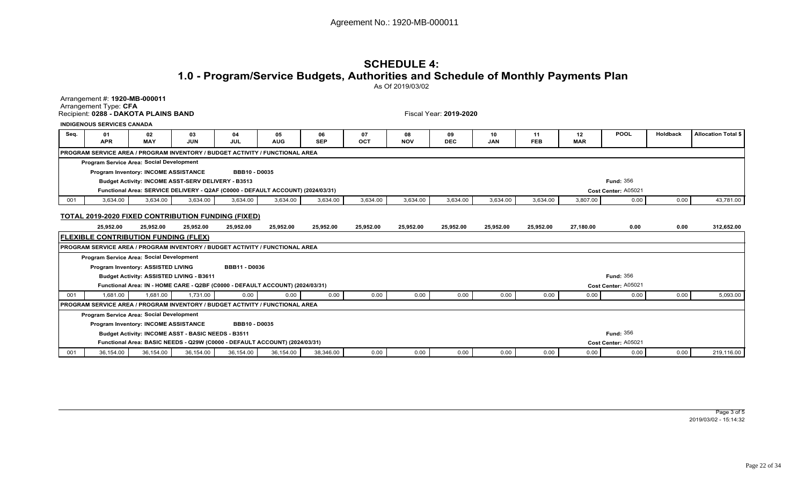# **SCHEDULE 4: 1.0 - Program/Service Budgets, Authorities and Schedule of Monthly Payments Plan**

As Of 2019/03/02

Arrangement #: **1920-MB-000011**Arrangement Type: **CFA**Recipient: **0288 - DAKOTA PLAINS BAND**

Fiscal Year: **2019-2020**

|      | <b>INDIGENOUS SERVICES CANADA</b>        |                                                    |            |                                                                                     |            |            |     |            |            |            |            |            |                  |          |                     |
|------|------------------------------------------|----------------------------------------------------|------------|-------------------------------------------------------------------------------------|------------|------------|-----|------------|------------|------------|------------|------------|------------------|----------|---------------------|
| Seq. | 01                                       | 02                                                 | 03         | 04                                                                                  | 05         | 06         | 07  | 08         | 09         |            | 11         | $12 \,$    | <b>POOL</b>      | Holdback | Allocation Total \$ |
|      | <b>APR</b>                               | <b>MAY</b>                                         | <b>JUN</b> | <b>JUL</b>                                                                          | <b>AUG</b> | <b>SEP</b> | OCT | <b>NOV</b> | <b>DEC</b> | <b>JAN</b> | <b>FEB</b> | <b>MAR</b> |                  |          |                     |
|      |                                          |                                                    |            | <b>PROGRAM SERVICE AREA / PROGRAM INVENTORY / BUDGET ACTIVITY / FUNCTIONAL AREA</b> |            |            |     |            |            |            |            |            |                  |          |                     |
|      | Program Service Area: Social Development |                                                    |            |                                                                                     |            |            |     |            |            |            |            |            |                  |          |                     |
|      |                                          | Program Inventory: INCOME ASSISTANCE               |            | <b>BBB10 - D0035</b>                                                                |            |            |     |            |            |            |            |            |                  |          |                     |
|      |                                          | Budget Activity: INCOME ASST-SERV DELIVERY - B3513 |            |                                                                                     |            |            |     |            |            |            |            |            | <b>Fund: 356</b> |          |                     |
|      |                                          |                                                    |            |                                                                                     |            |            |     |            |            |            |            |            |                  |          |                     |

**Functional Area: SERVICE DELIVERY - Q2AF (C0000 - DEFAULT ACCOUNT) (2024/03/31) Cost Center:**

001 | 3,634.00 | 3,634.00 | 3,634.00 | 3,634.00 | 3,634.00 | 3,634.00 | 3,634.00 | 3,634.00 | 3,634.00 | 3,634.00 | 3,807.00 | 0.00 | 43,781.00

#### **TOTAL 2019-2020 FIXED CONTRIBUTION FUNDING (FIXED)**

|     | 25,952.00                                                                    | 25,952.00                                          | 25,952.00 | 25,952.00            | 25,952.00                                                                     | 25,952.00 | 25,952.00 | 25,952.00 | 25,952.00 | 25,952.00 | 25,952.00 | 27,180.00 | 0.00                | 0.00 | 312,652.00 |
|-----|------------------------------------------------------------------------------|----------------------------------------------------|-----------|----------------------|-------------------------------------------------------------------------------|-----------|-----------|-----------|-----------|-----------|-----------|-----------|---------------------|------|------------|
|     | <b>FLEXIBLE CONTRIBUTION FUNDING (FLEX)</b>                                  |                                                    |           |                      |                                                                               |           |           |           |           |           |           |           |                     |      |            |
|     | PROGRAM SERVICE AREA / PROGRAM INVENTORY / BUDGET ACTIVITY / FUNCTIONAL AREA |                                                    |           |                      |                                                                               |           |           |           |           |           |           |           |                     |      |            |
|     | Program Service Area: Social Development                                     |                                                    |           |                      |                                                                               |           |           |           |           |           |           |           |                     |      |            |
|     |                                                                              | Program Inventory: ASSISTED LIVING                 |           | <b>BBB11 - D0036</b> |                                                                               |           |           |           |           |           |           |           |                     |      |            |
|     |                                                                              | Budget Activity: ASSISTED LIVING - B3611           |           |                      |                                                                               |           |           |           |           |           |           |           | <b>Fund: 356</b>    |      |            |
|     |                                                                              |                                                    |           |                      | Functional Area: IN - HOME CARE - Q2BF (C0000 - DEFAULT ACCOUNT) (2024/03/31) |           |           |           |           |           |           |           | Cost Center: A05021 |      |            |
| 001 | 1.681.00                                                                     | 1,681.00                                           | 1.731.00  | 0.00                 | 0.00                                                                          | 0.00      | 0.00      | 0.00      | 0.00      | 0.00      | 0.00      | 0.00      | 0.00                | 0.00 | 5,093.00   |
|     | PROGRAM SERVICE AREA / PROGRAM INVENTORY / BUDGET ACTIVITY / FUNCTIONAL AREA |                                                    |           |                      |                                                                               |           |           |           |           |           |           |           |                     |      |            |
|     | Program Service Area: Social Development                                     |                                                    |           |                      |                                                                               |           |           |           |           |           |           |           |                     |      |            |
|     |                                                                              | <b>Program Inventory: INCOME ASSISTANCE</b>        |           | <b>BBB10 - D0035</b> |                                                                               |           |           |           |           |           |           |           |                     |      |            |
|     |                                                                              | Budget Activity: INCOME ASST - BASIC NEEDS - B3511 |           |                      |                                                                               |           |           |           |           |           |           |           | <b>Fund: 356</b>    |      |            |
|     |                                                                              |                                                    |           |                      | Functional Area: BASIC NEEDS - Q29W (C0000 - DEFAULT ACCOUNT) (2024/03/31)    |           |           |           |           |           |           |           | Cost Center: A05021 |      |            |
| 001 | 36,154.00                                                                    | 36,154.00                                          | 36,154.00 | 36,154.00            | 36,154.00                                                                     | 38,346.00 | 0.00      | 0.00      | 0.00      | 0.00      | 0.00      | 0.00      | 0.00                | 0.00 | 219,116.00 |

Cost Center: A05021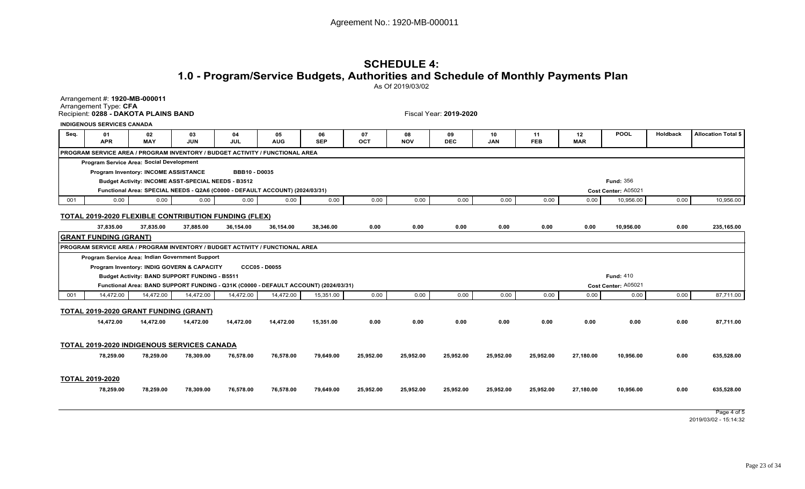## **SCHEDULE 4: 1.0 - Program/Service Budgets, Authorities and Schedule of Monthly Payments Plan**As Of 2019/03/02

Arrangement #: **1920-MB-000011**Arrangement Type: **CFA** Recipient: **0288 - DAKOTA PLAINS BAND**

Fiscal Year: **2019-2020**

|      | <b>INDIGENOUS SERVICES CANADA</b>                 |                  |                                                      |                                                                                     |                  |                  |           |                  |                  |                  |                  |                  |                     |          |                            |
|------|---------------------------------------------------|------------------|------------------------------------------------------|-------------------------------------------------------------------------------------|------------------|------------------|-----------|------------------|------------------|------------------|------------------|------------------|---------------------|----------|----------------------------|
| Seq. | 01<br><b>APR</b>                                  | 02<br><b>MAY</b> | 03<br><b>JUN</b>                                     | 04<br>JUL                                                                           | 05<br><b>AUG</b> | 06<br><b>SEP</b> | 07<br>OCT | 08<br><b>NOV</b> | 09<br><b>DEC</b> | 10<br><b>JAN</b> | 11<br><b>FEB</b> | 12<br><b>MAR</b> | <b>POOL</b>         | Holdback | <b>Allocation Total \$</b> |
|      |                                                   |                  |                                                      | PROGRAM SERVICE AREA / PROGRAM INVENTORY / BUDGET ACTIVITY / FUNCTIONAL AREA        |                  |                  |           |                  |                  |                  |                  |                  |                     |          |                            |
|      | Program Service Area: Social Development          |                  |                                                      |                                                                                     |                  |                  |           |                  |                  |                  |                  |                  |                     |          |                            |
|      | <b>Program Inventory: INCOME ASSISTANCE</b>       |                  |                                                      | <b>BBB10 - D0035</b>                                                                |                  |                  |           |                  |                  |                  |                  |                  |                     |          |                            |
|      |                                                   |                  | Budget Activity: INCOME ASST-SPECIAL NEEDS - B3512   |                                                                                     |                  |                  |           |                  |                  |                  |                  |                  | <b>Fund: 356</b>    |          |                            |
|      |                                                   |                  |                                                      | Functional Area: SPECIAL NEEDS - Q2A6 (C0000 - DEFAULT ACCOUNT) (2024/03/31)        |                  |                  |           |                  |                  |                  |                  |                  | Cost Center: A05021 |          |                            |
| 001  | 0.00                                              | 0.00             | 0.00                                                 | 0.00                                                                                | 0.00             | 0.00             | 0.00      | 0.00             | 0.00             | 0.00             | 0.00             | 0.00             | 10,956.00           | 0.00     | 10,956.00                  |
|      |                                                   |                  |                                                      | <b>TOTAL 2019-2020 FLEXIBLE CONTRIBUTION FUNDING (FLEX)</b>                         |                  |                  |           |                  |                  |                  |                  |                  |                     |          |                            |
|      | 37.835.00                                         | 37,835.00        | 37,885.00                                            | 36,154.00                                                                           | 36.154.00        | 38,346.00        | 0.00      | 0.00             | 0.00             | 0.00             | 0.00             | 0.00             | 10.956.00           | 0.00     | 235,165.00                 |
|      | <b>GRANT FUNDING (GRANT)</b>                      |                  |                                                      |                                                                                     |                  |                  |           |                  |                  |                  |                  |                  |                     |          |                            |
|      |                                                   |                  |                                                      | <b>PROGRAM SERVICE AREA / PROGRAM INVENTORY / BUDGET ACTIVITY / FUNCTIONAL AREA</b> |                  |                  |           |                  |                  |                  |                  |                  |                     |          |                            |
|      | Program Service Area: Indian Government Support   |                  |                                                      |                                                                                     |                  |                  |           |                  |                  |                  |                  |                  |                     |          |                            |
|      | Program Inventory: INDIG GOVERN & CAPACITY        |                  |                                                      | <b>CCC05 - D0055</b>                                                                |                  |                  |           |                  |                  |                  |                  |                  |                     |          |                            |
|      |                                                   |                  | <b>Budget Activity: BAND SUPPORT FUNDING - B5511</b> |                                                                                     |                  |                  |           |                  |                  |                  |                  |                  | <b>Fund: 410</b>    |          |                            |
|      |                                                   |                  |                                                      | Functional Area: BAND SUPPORT FUNDING - Q31K (C0000 - DEFAULT ACCOUNT) (2024/03/31) |                  |                  |           |                  |                  |                  |                  |                  | Cost Center: A05021 |          |                            |
| 001  | 14,472.00                                         | 14,472.00        | 14,472.00                                            | 14,472.00                                                                           | 14,472.00        | 15,351.00        | 0.00      | 0.00             | 0.00             | 0.00             | 0.00             | 0.00             | 0.00                | 0.00     | 87,711.00                  |
|      | TOTAL 2019-2020 GRANT FUNDING (GRANT)             |                  |                                                      |                                                                                     |                  |                  |           |                  |                  |                  |                  |                  |                     |          |                            |
|      | 14,472.00                                         | 14,472.00        | 14,472.00                                            | 14,472.00                                                                           | 14,472.00        | 15,351.00        | 0.00      | 0.00             | 0.00             | 0.00             | 0.00             | 0.00             | 0.00                | 0.00     | 87,711.00                  |
|      | <b>TOTAL 2019-2020 INDIGENOUS SERVICES CANADA</b> |                  |                                                      |                                                                                     |                  |                  |           |                  |                  |                  |                  |                  |                     |          |                            |
|      | 78,259.00                                         | 78,259.00        | 78,309.00                                            | 76,578.00                                                                           | 76,578.00        | 79,649.00        | 25,952.00 | 25,952.00        | 25,952.00        | 25,952.00        | 25,952.00        | 27,180.00        | 10.956.00           | 0.00     | 635,528.00                 |
|      | <b>TOTAL 2019-2020</b>                            |                  |                                                      |                                                                                     |                  |                  |           |                  |                  |                  |                  |                  |                     |          |                            |
|      | 78,259.00                                         | 78,259.00        | 78,309.00                                            | 76,578.00                                                                           | 76,578.00        |                  | 25,952.00 | 25,952.00        |                  |                  | 25,952.00        | 27,180.00        | 10.956.00           | 0.00     | 635,528.00                 |
|      |                                                   |                  |                                                      |                                                                                     |                  | 79,649.00        |           |                  | 25,952.00        | 25,952.00        |                  |                  |                     |          |                            |
|      |                                                   |                  |                                                      |                                                                                     |                  |                  |           |                  |                  |                  |                  |                  |                     |          | Page 4 of 5                |

2019/03/02 - 15:14:32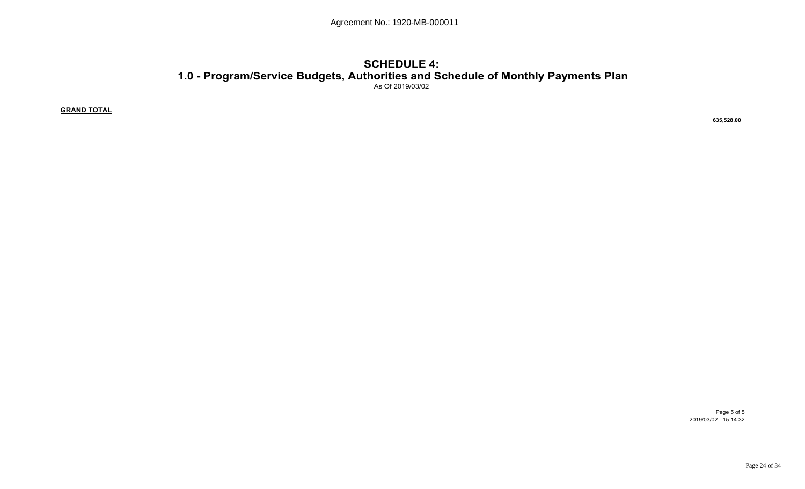## **SCHEDULE 4: 1.0 - Program/Service Budgets, Authorities and Schedule of Monthly Payments Plan**As Of 2019/03/02

**GRAND TOTAL**

 **635,528.00** 

Page 5 of 52019/03/02 - 15:14:32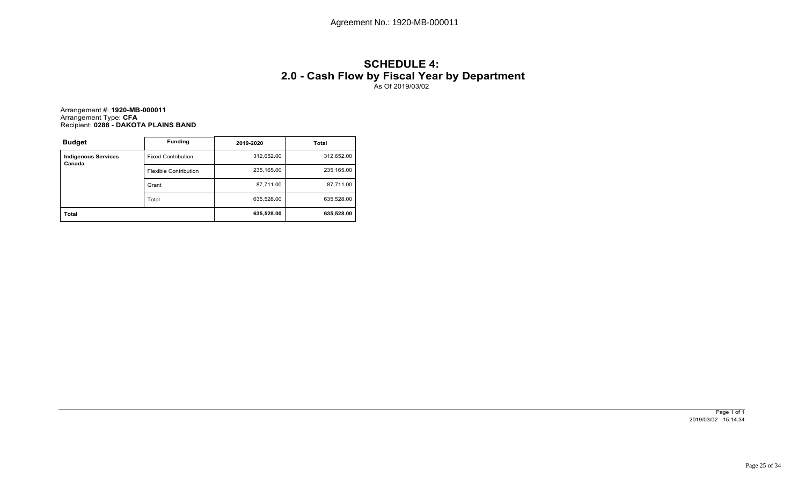# **SCHEDULE 4: 2.0 - Cash Flow by Fiscal Year by Department** As Of 2019/03/02

Arrangement #: **1920-MB-000011**Arrangement Type: **CFA** Recipient: **0288 - DAKOTA PLAINS BAND**

| <b>Budget</b>                        | <b>Funding</b>               | 2019-2020  | Total      |
|--------------------------------------|------------------------------|------------|------------|
| <b>Indigenous Services</b><br>Canada | <b>Fixed Contribution</b>    | 312,652.00 | 312,652.00 |
|                                      | <b>Flexible Contribution</b> | 235,165.00 | 235,165.00 |
|                                      | Grant                        | 87,711.00  | 87,711.00  |
|                                      | Total                        | 635,528.00 | 635,528.00 |
| <b>Total</b>                         |                              | 635,528.00 | 635,528.00 |

Page 1 of 1 2019/03/02 - 15:14:34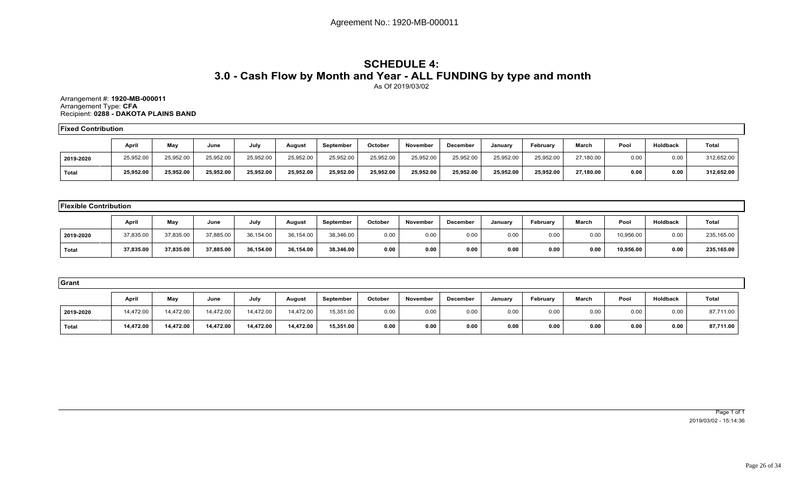## **SCHEDULE 4: 3.0 - Cash Flow by Month and Year - ALL FUNDING by type and month**As Of 2019/03/02

Arrangement #: **1920-MB-000011**Arrangement Type: **CFA** Recipient: **0288 - DAKOTA PLAINS BAND**

**Fixed Contribution**

|           | Apri      | May       | June      | July      | August    | September | October   | November  | <b>December</b> | Januarv   | February  | March     | Pool | Holdback | <b>Total</b> |
|-----------|-----------|-----------|-----------|-----------|-----------|-----------|-----------|-----------|-----------------|-----------|-----------|-----------|------|----------|--------------|
| 2019-2020 | 25,952.00 | 25,952.00 | 25,952.00 | 25,952.00 | 25,952.00 | 25,952.00 | 25,952.00 | 25,952.00 | 25,952.00       | 25,952.00 | 25,952.00 | 27,180.00 | 0.00 | 0.00     | 312,652.00   |
| Total     | 25,952.00 | 25,952.00 | 25,952.00 | 25.952.00 | 25,952.00 | 25,952.00 | 25,952.00 | 25,952.00 | 25,952.00       | 25.952.00 | 25.952.00 | 27.180.00 | 0.00 | 0.00     | 312,652.00   |

| <b>Flexible Contribution</b> |           |           |           |           |           |           |         |          |          |         |          |       |           |          |              |
|------------------------------|-----------|-----------|-----------|-----------|-----------|-----------|---------|----------|----------|---------|----------|-------|-----------|----------|--------------|
|                              | April     | May       | June      | July      | August    | September | October | November | December | January | February | March | Pool      | Holdback | <b>Total</b> |
| 2019-2020                    | 37,835.00 | 37,835.00 | 37,885.00 | 36,154.00 | 36,154.00 | 38,346.00 | 0.00    | 0.00     | 0.00     | 0.00    | 0.00     | 0.00  | 10,956.00 | 0.00     | 235,165.00   |
| Total                        | 37,835.00 | 37,835.00 | 37,885.00 | 36,154.00 | 36,154.00 | 38,346.00 | 0.00    | 0.00     | 0.00     | 0.00    | 0.00     | 0.00  | 10,956.00 | 0.00     | 235,165.00   |

| Grant     |           |           |           |           |           |           |         |          |          |         |          |              |      |          |           |
|-----------|-----------|-----------|-----------|-----------|-----------|-----------|---------|----------|----------|---------|----------|--------------|------|----------|-----------|
|           | April     | May       | June      | July      | August    | September | October | November | December | January | February | <b>March</b> | Pool | Holdback | Total     |
| 2019-2020 | 14,472.00 | 14.472.00 | 14,472.00 | 14,472.00 | 14,472.00 | 15,351.00 | 0.00    | 0.00     | 0.00     | 0.00    | 0.00     | 0.00         | 0.00 | 0.00     | 87,711.00 |
| ˈ Total   | 14,472.00 | 14,472.00 | 14,472.00 | 14,472.00 | 14,472.00 | 15,351.00 | 0.00    | 0.00     | 0.00     | 0.00    | 0.00     | 0.00         | 0.00 | 0.00     | 87,711.00 |

Page 1 of 1 2019/03/02 - 15:14:36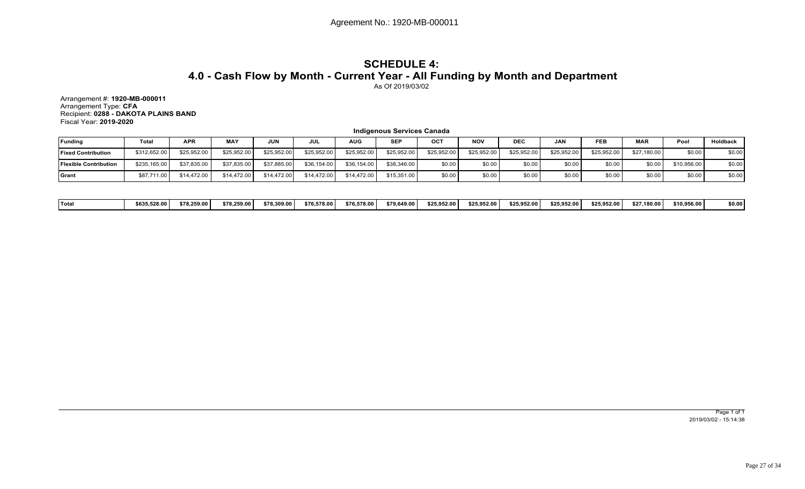## **SCHEDULE 4: 4.0 - Cash Flow by Month - Current Year - All Funding by Month and Department**As Of 2019/03/02

Arrangement #: **1920-MB-000011** Arrangement Type: **CFA** Recipient: **0288 - DAKOTA PLAINS BAND**Fiscal Year: **2019-2020**

|                              |              |             |             |             |             |             | <b>Indigenous Services Canada</b> |             |             |             |             |             |             |             |          |
|------------------------------|--------------|-------------|-------------|-------------|-------------|-------------|-----------------------------------|-------------|-------------|-------------|-------------|-------------|-------------|-------------|----------|
| Funding                      | <b>Total</b> | <b>APR</b>  | <b>MAY</b>  | <b>JUN</b>  | JUL         | <b>AUG</b>  | <b>SEP</b>                        | OCT         | <b>NOV</b>  | <b>DEC</b>  | <b>JAN</b>  | FEB         | <b>MAR</b>  | Pool        | Holdback |
| <b>Fixed Contribution</b>    | \$312,652.00 | \$25,952.00 | \$25,952.00 | \$25,952.00 | \$25,952.00 | \$25,952.00 | \$25,952.00                       | \$25,952.00 | \$25,952.00 | \$25,952.00 | \$25,952.00 | \$25,952.00 | \$27.180.00 | \$0.00      | \$0.00   |
| <b>Flexible Contribution</b> | \$235,165.00 | \$37,835,00 | \$37,835.00 | \$37,885.00 | \$36,154.00 | \$36,154.00 | \$38,346,00                       | \$0.00      | \$0.00      | \$0.00      | \$0.00      | \$0.00      | \$0.00      | \$10,956.00 | \$0.00   |
| <b>S</b> rant                | \$87,711.00  | \$14,472.00 | \$14,472.00 | \$14,472.00 | \$14,472.00 | \$14,472.00 | \$15,351,00                       | \$0.00      | \$0.00      | \$0.00      | \$0.00      | \$0.00      | \$0.00      | \$0.00      | \$0.00   |

| ˈTota | \$635,528.00 | \$78.259.00 | \$78.259.00 | \$78,309.00 | \$76.578.00 | \$76.578.00 | \$79,649.00 | \$25.952.00 | \$25.952.00 | \$25,952.00 | \$25.952.00 | \$25,952.00 | \$27.180.00 | \$10,956.00 | \$0.00 |
|-------|--------------|-------------|-------------|-------------|-------------|-------------|-------------|-------------|-------------|-------------|-------------|-------------|-------------|-------------|--------|
|-------|--------------|-------------|-------------|-------------|-------------|-------------|-------------|-------------|-------------|-------------|-------------|-------------|-------------|-------------|--------|

Page 1 of 1 2019/03/02 - 15:14:38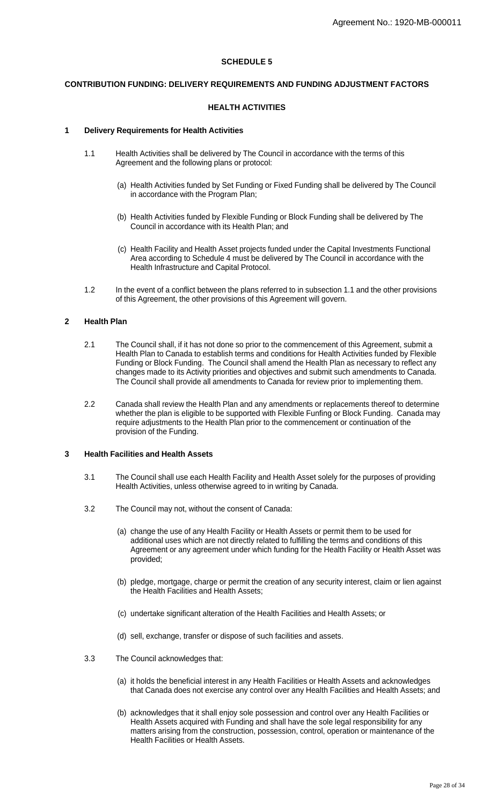## **SCHEDULE 5**

## **CONTRIBUTION FUNDING: DELIVERY REQUIREMENTS AND FUNDING ADJUSTMENT FACTORS**

## **HEALTH ACTIVITIES**

#### **1 Delivery Requirements for Health Activities**

- 1.1 Health Activities shall be delivered by The Council in accordance with the terms of this Agreement and the following plans or protocol:
	- (a) Health Activities funded by Set Funding or Fixed Funding shall be delivered by The Council in accordance with the Program Plan;
	- (b) Health Activities funded by Flexible Funding or Block Funding shall be delivered by The Council in accordance with its Health Plan; and
	- (c) Health Facility and Health Asset projects funded under the Capital Investments Functional Area according to Schedule 4 must be delivered by The Council in accordance with the Health Infrastructure and Capital Protocol.
- 1.2 In the event of a conflict between the plans referred to in subsection 1.1 and the other provisions of this Agreement, the other provisions of this Agreement will govern.

## **2 Health Plan**

- 2.1 The Council shall, if it has not done so prior to the commencement of this Agreement, submit a Health Plan to Canada to establish terms and conditions for Health Activities funded by Flexible Funding or Block Funding. The Council shall amend the Health Plan as necessary to reflect any changes made to its Activity priorities and objectives and submit such amendments to Canada. The Council shall provide all amendments to Canada for review prior to implementing them.
- 2.2 Canada shall review the Health Plan and any amendments or replacements thereof to determine whether the plan is eligible to be supported with Flexible Funfing or Block Funding. Canada may require adjustments to the Health Plan prior to the commencement or continuation of the provision of the Funding.

## **3 Health Facilities and Health Assets**

- 3.1 The Council shall use each Health Facility and Health Asset solely for the purposes of providing Health Activities, unless otherwise agreed to in writing by Canada.
- 3.2 The Council may not, without the consent of Canada:
	- (a) change the use of any Health Facility or Health Assets or permit them to be used for additional uses which are not directly related to fulfilling the terms and conditions of this Agreement or any agreement under which funding for the Health Facility or Health Asset was provided;
	- (b) pledge, mortgage, charge or permit the creation of any security interest, claim or lien against the Health Facilities and Health Assets;
	- (c) undertake significant alteration of the Health Facilities and Health Assets; or
	- (d) sell, exchange, transfer or dispose of such facilities and assets.
- 3.3 The Council acknowledges that:
	- (a) it holds the beneficial interest in any Health Facilities or Health Assets and acknowledges that Canada does not exercise any control over any Health Facilities and Health Assets; and
	- (b) acknowledges that it shall enjoy sole possession and control over any Health Facilities or Health Assets acquired with Funding and shall have the sole legal responsibility for any matters arising from the construction, possession, control, operation or maintenance of the Health Facilities or Health Assets.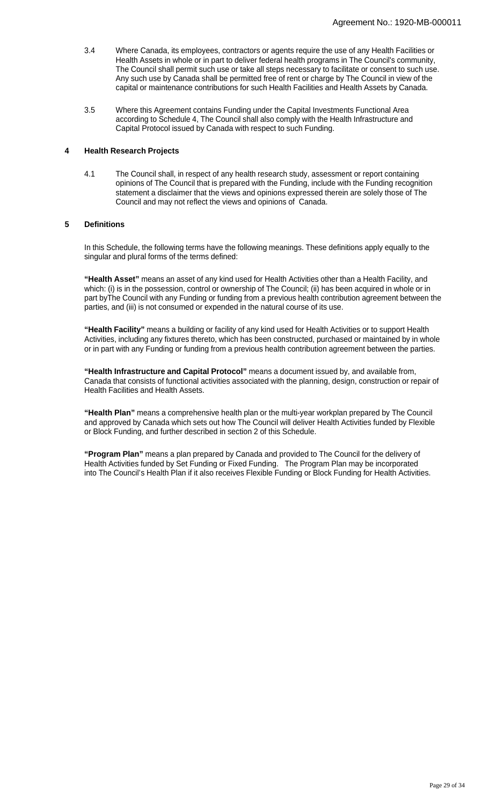- 3.4 Where Canada, its employees, contractors or agents require the use of any Health Facilities or Health Assets in whole or in part to deliver federal health programs in The Council's community, The Council shall permit such use or take all steps necessary to facilitate or consent to such use. Any such use by Canada shall be permitted free of rent or charge by The Council in view of the capital or maintenance contributions for such Health Facilities and Health Assets by Canada.
- 3.5 Where this Agreement contains Funding under the Capital Investments Functional Area according to Schedule 4, The Council shall also comply with the Health Infrastructure and Capital Protocol issued by Canada with respect to such Funding.

## **4 Health Research Projects**

4.1 The Council shall, in respect of any health research study, assessment or report containing opinions of The Council that is prepared with the Funding, include with the Funding recognition statement a disclaimer that the views and opinions expressed therein are solely those of The Council and may not reflect the views and opinions of Canada.

## **5 Definitions**

In this Schedule, the following terms have the following meanings. These definitions apply equally to the singular and plural forms of the terms defined:

**"Health Asset"** means an asset of any kind used for Health Activities other than a Health Facility, and which: (i) is in the possession, control or ownership of The Council; (ii) has been acquired in whole or in part byThe Council with any Funding or funding from a previous health contribution agreement between the parties, and (iii) is not consumed or expended in the natural course of its use.

**"Health Facility"** means a building or facility of any kind used for Health Activities or to support Health Activities, including any fixtures thereto, which has been constructed, purchased or maintained by in whole or in part with any Funding or funding from a previous health contribution agreement between the parties.

**"Health Infrastructure and Capital Protocol"** means a document issued by, and available from, Canada that consists of functional activities associated with the planning, design, construction or repair of Health Facilities and Health Assets.

**"Health Plan"** means a comprehensive health plan or the multi-year workplan prepared by The Council and approved by Canada which sets out how The Council will deliver Health Activities funded by Flexible or Block Funding, and further described in section 2 of this Schedule.

**"Program Plan"** means a plan prepared by Canada and provided to The Council for the delivery of Health Activities funded by Set Funding or Fixed Funding. The Program Plan may be incorporated into The Council's Health Plan if it also receives Flexible Funding or Block Funding for Health Activities.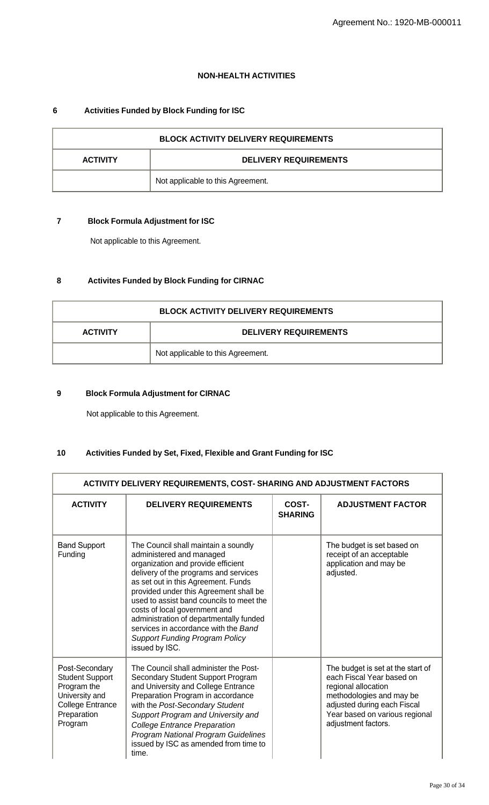## **NON-HEALTH ACTIVITIES**

# **6 Activities Funded by Block Funding for ISC**

| <b>BLOCK ACTIVITY DELIVERY REQUIREMENTS</b>     |                                   |  |
|-------------------------------------------------|-----------------------------------|--|
| <b>DELIVERY REQUIREMENTS</b><br><b>ACTIVITY</b> |                                   |  |
|                                                 | Not applicable to this Agreement. |  |

# **7 Block Formula Adjustment for ISC**

Not applicable to this Agreement.

# **8 Activites Funded by Block Funding for CIRNAC**

| <b>BLOCK ACTIVITY DELIVERY REQUIREMENTS</b> |                                   |  |
|---------------------------------------------|-----------------------------------|--|
| <b>ACTIVITY</b>                             | <b>DELIVERY REQUIREMENTS</b>      |  |
|                                             | Not applicable to this Agreement. |  |

# **9 Block Formula Adjustment for CIRNAC**

Not applicable to this Agreement.

# **10 Activities Funded by Set, Fixed, Flexible and Grant Funding for ISC**

| <b>ACTIVITY DELIVERY REQUIREMENTS, COST- SHARING AND ADJUSTMENT FACTORS</b>                                                    |                                                                                                                                                                                                                                                                                                                                                                                                                                                             |                         |                                                                                                                                                                                                           |
|--------------------------------------------------------------------------------------------------------------------------------|-------------------------------------------------------------------------------------------------------------------------------------------------------------------------------------------------------------------------------------------------------------------------------------------------------------------------------------------------------------------------------------------------------------------------------------------------------------|-------------------------|-----------------------------------------------------------------------------------------------------------------------------------------------------------------------------------------------------------|
| <b>ACTIVITY</b>                                                                                                                | <b>DELIVERY REQUIREMENTS</b>                                                                                                                                                                                                                                                                                                                                                                                                                                | COST-<br><b>SHARING</b> | <b>ADJUSTMENT FACTOR</b>                                                                                                                                                                                  |
| <b>Band Support</b><br>Funding                                                                                                 | The Council shall maintain a soundly<br>administered and managed<br>organization and provide efficient<br>delivery of the programs and services<br>as set out in this Agreement. Funds<br>provided under this Agreement shall be<br>used to assist band councils to meet the<br>costs of local government and<br>administration of departmentally funded<br>services in accordance with the Band<br><b>Support Funding Program Policy</b><br>issued by ISC. |                         | The budget is set based on<br>receipt of an acceptable<br>application and may be<br>adjusted.                                                                                                             |
| Post-Secondary<br><b>Student Support</b><br>Program the<br>University and<br><b>College Entrance</b><br>Preparation<br>Program | The Council shall administer the Post-<br>Secondary Student Support Program<br>and University and College Entrance<br>Preparation Program in accordance<br>with the Post-Secondary Student<br>Support Program and University and<br><b>College Entrance Preparation</b><br><b>Program National Program Guidelines</b><br>issued by ISC as amended from time to<br>time.                                                                                     |                         | The budget is set at the start of<br>each Fiscal Year based on<br>regional allocation<br>methodologies and may be<br>adjusted during each Fiscal<br>Year based on various regional<br>adjustment factors. |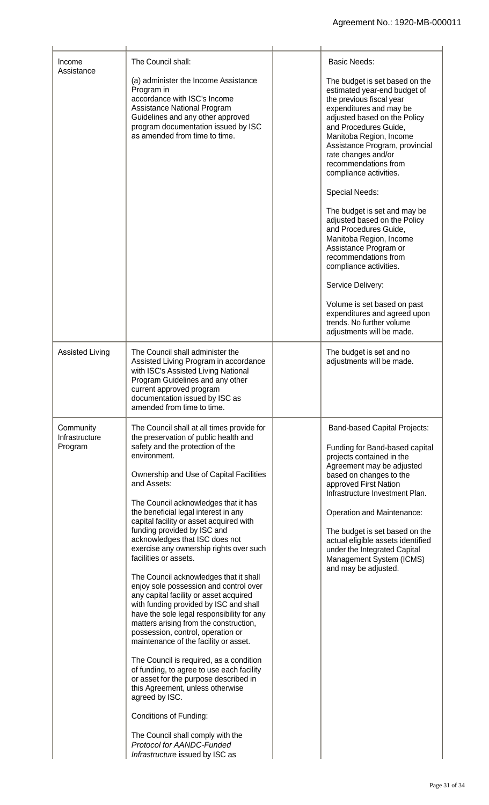| Income<br>Assistance                   | The Council shall:<br>(a) administer the Income Assistance<br>Program in<br>accordance with ISC's Income<br>Assistance National Program<br>Guidelines and any other approved<br>program documentation issued by ISC<br>as amended from time to time.                                                                                                                                                                                                                                                                                                                                                                                                                                                                                                                                                                                                                                                                                                                                                                                                                                                                                         | <b>Basic Needs:</b><br>The budget is set based on the<br>estimated year-end budget of<br>the previous fiscal year<br>expenditures and may be<br>adjusted based on the Policy<br>and Procedures Guide,<br>Manitoba Region, Income<br>Assistance Program, provincial<br>rate changes and/or<br>recommendations from<br>compliance activities.<br><b>Special Needs:</b><br>The budget is set and may be<br>adjusted based on the Policy<br>and Procedures Guide,<br>Manitoba Region, Income<br>Assistance Program or<br>recommendations from<br>compliance activities.<br>Service Delivery:<br>Volume is set based on past<br>expenditures and agreed upon<br>trends. No further volume<br>adjustments will be made. |
|----------------------------------------|----------------------------------------------------------------------------------------------------------------------------------------------------------------------------------------------------------------------------------------------------------------------------------------------------------------------------------------------------------------------------------------------------------------------------------------------------------------------------------------------------------------------------------------------------------------------------------------------------------------------------------------------------------------------------------------------------------------------------------------------------------------------------------------------------------------------------------------------------------------------------------------------------------------------------------------------------------------------------------------------------------------------------------------------------------------------------------------------------------------------------------------------|-------------------------------------------------------------------------------------------------------------------------------------------------------------------------------------------------------------------------------------------------------------------------------------------------------------------------------------------------------------------------------------------------------------------------------------------------------------------------------------------------------------------------------------------------------------------------------------------------------------------------------------------------------------------------------------------------------------------|
| <b>Assisted Living</b>                 | The Council shall administer the<br>Assisted Living Program in accordance<br>with ISC's Assisted Living National<br>Program Guidelines and any other<br>current approved program<br>documentation issued by ISC as<br>amended from time to time.                                                                                                                                                                                                                                                                                                                                                                                                                                                                                                                                                                                                                                                                                                                                                                                                                                                                                             | The budget is set and no<br>adjustments will be made.                                                                                                                                                                                                                                                                                                                                                                                                                                                                                                                                                                                                                                                             |
| Community<br>Infrastructure<br>Program | The Council shall at all times provide for<br>the preservation of public health and<br>safety and the protection of the<br>environment.<br>Ownership and Use of Capital Facilities<br>and Assets:<br>The Council acknowledges that it has<br>the beneficial legal interest in any<br>capital facility or asset acquired with<br>funding provided by ISC and<br>acknowledges that ISC does not<br>exercise any ownership rights over such<br>facilities or assets.<br>The Council acknowledges that it shall<br>enjoy sole possession and control over<br>any capital facility or asset acquired<br>with funding provided by ISC and shall<br>have the sole legal responsibility for any<br>matters arising from the construction,<br>possession, control, operation or<br>maintenance of the facility or asset.<br>The Council is required, as a condition<br>of funding, to agree to use each facility<br>or asset for the purpose described in<br>this Agreement, unless otherwise<br>agreed by ISC.<br>Conditions of Funding:<br>The Council shall comply with the<br><b>Protocol for AANDC-Funded</b><br>Infrastructure issued by ISC as | <b>Band-based Capital Projects:</b><br>Funding for Band-based capital<br>projects contained in the<br>Agreement may be adjusted<br>based on changes to the<br>approved First Nation<br>Infrastructure Investment Plan.<br>Operation and Maintenance:<br>The budget is set based on the<br>actual eligible assets identified<br>under the Integrated Capital<br>Management System (ICMS)<br>and may be adjusted.                                                                                                                                                                                                                                                                                                   |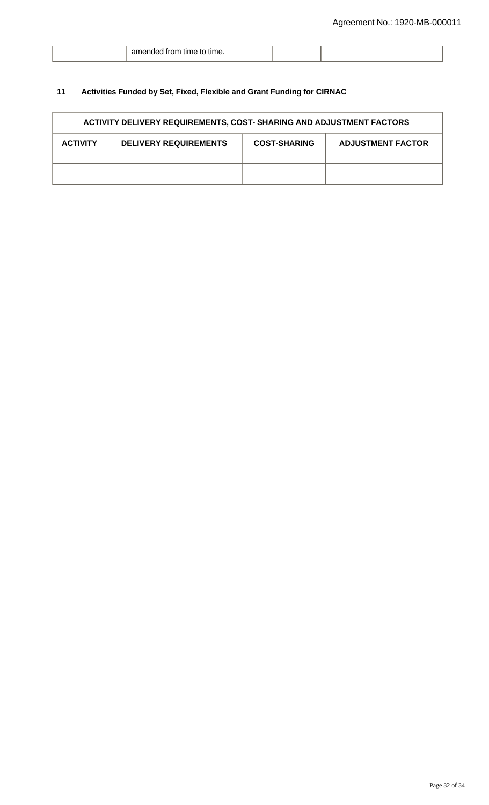|  | amended from time to time. |  |  |
|--|----------------------------|--|--|
|--|----------------------------|--|--|

# **11 Activities Funded by Set, Fixed, Flexible and Grant Funding for CIRNAC**

| <b>ACTIVITY DELIVERY REQUIREMENTS, COST- SHARING AND ADJUSTMENT FACTORS</b> |                              |                     |                          |
|-----------------------------------------------------------------------------|------------------------------|---------------------|--------------------------|
| <b>ACTIVITY</b>                                                             | <b>DELIVERY REQUIREMENTS</b> | <b>COST-SHARING</b> | <b>ADJUSTMENT FACTOR</b> |
|                                                                             |                              |                     |                          |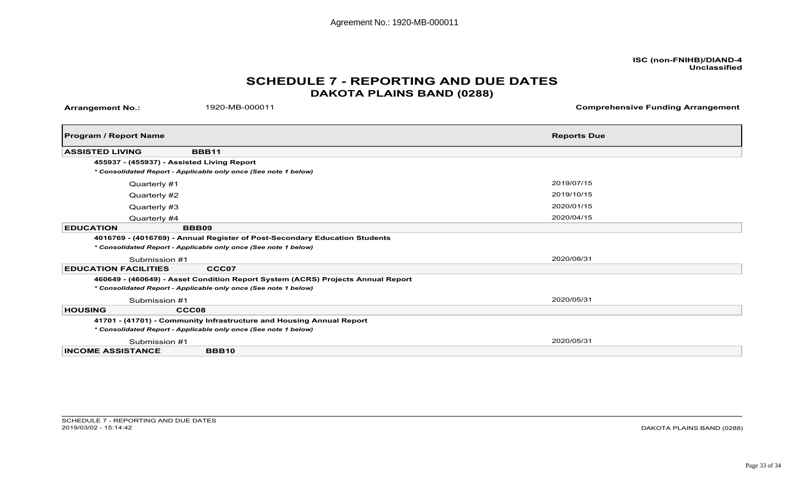# **DAKOTA PLAINS BAND (0288)SCHEDULE 7 - REPORTING AND DUE DATES**

|                                      |                                                                                 | Agreement No.: 1920-MB-000011                  |
|--------------------------------------|---------------------------------------------------------------------------------|------------------------------------------------|
|                                      |                                                                                 |                                                |
|                                      |                                                                                 | ISC (non-FNIHB)/DIAND-4<br><b>Unclassified</b> |
|                                      |                                                                                 | <b>SCHEDULE 7 - REPORTING AND DUE DATES</b>    |
|                                      |                                                                                 | <b>DAKOTA PLAINS BAND (0288)</b>               |
| <b>Arrangement No.:</b>              | 1920-MB-000011                                                                  | <b>Comprehensive Funding Arrangement</b>       |
|                                      |                                                                                 |                                                |
| <b>Program / Report Name</b>         |                                                                                 | <b>Reports Due</b>                             |
| <b>ASSISTED LIVING</b>               | <b>BBB11</b>                                                                    |                                                |
|                                      | 455937 - (455937) - Assisted Living Report                                      |                                                |
|                                      | * Consolidated Report - Applicable only once (See note 1 below)                 |                                                |
| Quarterly #1                         |                                                                                 | 2019/07/15                                     |
| Quarterly #2                         |                                                                                 | 2019/10/15                                     |
| Quarterly #3                         |                                                                                 | 2020/01/15                                     |
| Quarterly #4<br><b>EDUCATION</b>     | <b>BBB09</b>                                                                    | 2020/04/15                                     |
|                                      | 4016769 - (4016769) - Annual Register of Post-Secondary Education Students      |                                                |
|                                      | * Consolidated Report - Applicable only once (See note 1 below)                 |                                                |
| Submission #1                        |                                                                                 | 2020/08/31                                     |
| <b>EDUCATION FACILITIES</b>          | CCC07                                                                           |                                                |
|                                      | 460649 - (460649) - Asset Condition Report System (ACRS) Projects Annual Report |                                                |
|                                      | * Consolidated Report - Applicable only once (See note 1 below)                 |                                                |
| Submission #1                        |                                                                                 | 2020/05/31                                     |
| <b>HOUSING</b>                       | CCC08<br>41701 - (41701) - Community Infrastructure and Housing Annual Report   |                                                |
|                                      | * Consolidated Report - Applicable only once (See note 1 below)                 |                                                |
| Submission #1                        |                                                                                 | 2020/05/31                                     |
| <b>INCOME ASSISTANCE</b>             | <b>BBB10</b>                                                                    |                                                |
|                                      |                                                                                 |                                                |
|                                      |                                                                                 |                                                |
|                                      |                                                                                 |                                                |
|                                      |                                                                                 |                                                |
|                                      |                                                                                 |                                                |
| SCHEDULE 7 - REPORTING AND DUE DATES |                                                                                 |                                                |

DAKOTA PLAINS BAND (0288)